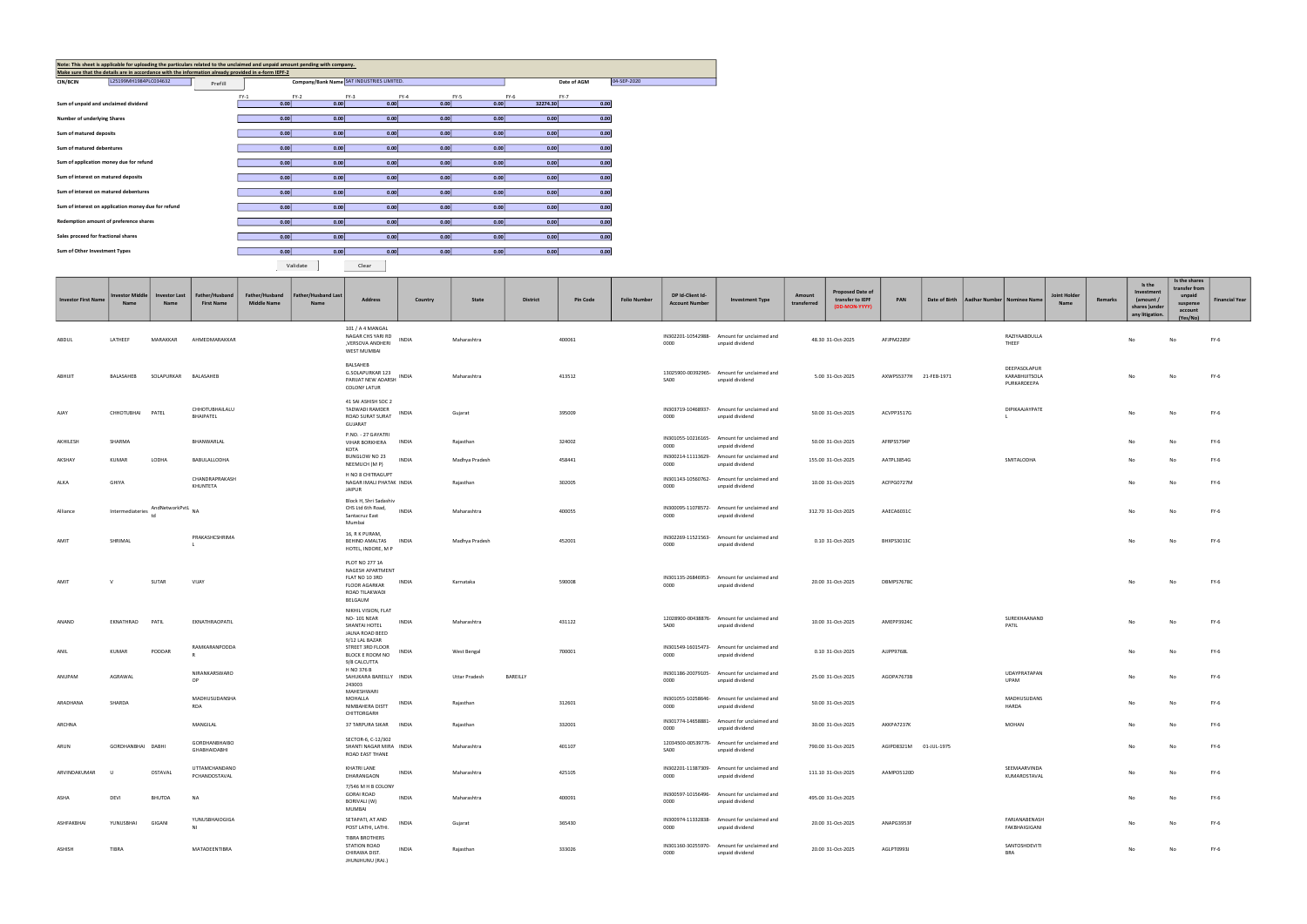| <b>Investor First Name</b> | <b>Investor Middle</b><br>Name | <b>Investor Last</b><br><b>Name</b> | Father/Husband<br><b>First Name</b>  | Father/Husband<br><b>Middle Name</b> | Father/Husband Last<br>Name | <b>Address</b>                                                                                                   | Country      | State          | <b>District</b> | <b>Pin Code</b> | <b>Folio Number</b> | DP Id-Client Id-<br><b>Account Number</b> | <b>Investment Type</b>                                         | Amount<br>transferred | <b>Proposed Date of</b><br>transfer to IEPF<br>(DD-MON-YYYY) | PAN                    | Date of Birth | Aadhar Number   Nominee Name                  | <b>Joint Holder</b><br>Name | Remarks | Is the<br>Investment<br>(amount /<br>shares )under<br>any litigation. | Is the shares<br>transfer from<br>unpaid<br>suspense<br>account<br>(Yes/No) | <b>Financial Year</b> |
|----------------------------|--------------------------------|-------------------------------------|--------------------------------------|--------------------------------------|-----------------------------|------------------------------------------------------------------------------------------------------------------|--------------|----------------|-----------------|-----------------|---------------------|-------------------------------------------|----------------------------------------------------------------|-----------------------|--------------------------------------------------------------|------------------------|---------------|-----------------------------------------------|-----------------------------|---------|-----------------------------------------------------------------------|-----------------------------------------------------------------------------|-----------------------|
| ABDUL                      | LATHEEF                        | MARAKKAR                            | AHMEDMARAKKAR                        |                                      |                             | 101 / A 4 MANGAL<br>NAGAR CHS YARI RD<br>,VERSOVA ANDHERI<br><b>WEST MUMBAI</b>                                  | INDIA        | Maharashtra    |                 | 400061          |                     | 0000                                      | IN302201-10542988- Amount for unclaimed and<br>unpaid dividend |                       | 48.30 31-Oct-2025                                            | AFJPM2285F             |               | RAZIYAABDULLA<br>THEEF                        |                             |         | No                                                                    | No                                                                          | <b>FY-6</b>           |
| ABHIJIT                    | BALASAHEB                      | SOLAPURKAR BALASAHEB                |                                      |                                      |                             | BALSAHEB<br>G.SOLAPURKAR 123<br>PARIJAT NEW ADARSH<br><b>COLONY LATUR</b>                                        | <b>INDIA</b> | Maharashtra    |                 | 413512          |                     | SA00                                      | 13025900-00392965- Amount for unclaimed and<br>unpaid dividend |                       | 5.00 31-Oct-2025                                             | AXWPS5377H 21-FEB-1971 |               | DEEPASOLAPUR<br>KARABHIJITSOLA<br>PURKARDEEPA |                             |         | No                                                                    | No                                                                          | <b>FY-6</b>           |
| AJAY                       | CHHOTUBHAI PATEL               |                                     | CHHOTUBHAILALU<br>BHAIPATEL          |                                      |                             | 41 SAI ASHISH SOC 2<br>TADWADI RAMDER<br>ROAD SURAT SURAT<br>GUJARAT                                             | INDIA        | Gujarat        |                 | 395009          |                     | 0000                                      | IN303719-10468937- Amount for unclaimed and<br>unpaid dividend |                       | 50.00 31-Oct-2025                                            | ACVPP3517G             |               | DIPIKAAJAYPATE                                |                             |         | No                                                                    | No                                                                          | <b>FY-6</b>           |
| AKHILESH                   | SHARMA                         |                                     | BHANWARLAL                           |                                      |                             | P.NO. - 27 GAYATRI<br>VIHAR BORKHERA INDIA<br>KOTA                                                               |              | Rajasthan      |                 | 324002          |                     | 0000                                      | IN301055-10216165- Amount for unclaimed and<br>unpaid dividend |                       | 50.00 31-Oct-2025                                            | AFRPS5794P             |               |                                               |                             |         | No                                                                    | No                                                                          | $FY-6$                |
| AKSHAY                     | <b>KUMAR</b>                   | LODHA                               | BABULALLODHA                         |                                      |                             | BUNGLOW NO 23<br>NEEMUCH (M P)                                                                                   | <b>INDIA</b> | Madhya Pradesh |                 | 458441          |                     | 0000                                      | IN300214-11113629- Amount for unclaimed and<br>unpaid dividend |                       | 155.00 31-Oct-2025                                           | AATPL3854G             |               | SMITALODHA                                    |                             |         | No                                                                    | No                                                                          | FY-6                  |
| ALKA                       | GHIYA                          |                                     | CHANDRAPRAKASH<br>KHUNTETA           |                                      |                             | H NO 8 CHITRAGUPT<br>NAGAR IMALI PHATAK INDIA<br><b>JAIPUR</b>                                                   |              | Rajasthan      |                 | 302005          |                     | 0000                                      | IN301143-10560762- Amount for unclaimed and<br>unpaid dividend |                       | 10.00 31-Oct-2025                                            | ACFPG0727M             |               |                                               |                             |         | No                                                                    | No                                                                          | <b>FY-6</b>           |
| Alliance                   | Intermediateries               | AndNetworkPvtL                      | <b>NA</b>                            |                                      |                             | Block H, Shri Sadashiv<br>CHS Ltd 6th Road,<br>Santacruz East<br>Mumbai                                          | <b>INDIA</b> | Maharashtra    |                 | 400055          |                     | 0000                                      | IN300095-11078572- Amount for unclaimed and<br>unpaid dividend |                       | 312.70 31-Oct-2025                                           | AAECA6031C             |               |                                               |                             |         | No                                                                    | No                                                                          | FY-6                  |
| AMIT                       | SHRIMAL                        |                                     | PRAKASHCSHRIMA                       |                                      |                             | 16, R K PURAM,<br>BEHIND AMALTAS INDIA<br>HOTEL, INDORE, M P                                                     |              | Madhya Pradesh |                 | 452001          |                     | 0000                                      | IN302269-11521563- Amount for unclaimed and<br>unpaid dividend |                       | 0.10 31-Oct-2025                                             | BHXPS3013C             |               |                                               |                             |         | No                                                                    | No                                                                          | <b>FY-6</b>           |
| AMIT                       | $\vee$                         | SUTAR                               | VIJAY                                |                                      |                             | <b>PLOT NO 277 1A</b><br>NAGESH APARTMENT<br>FLAT NO 10 3RD<br><b>FLOOR AGARKAR</b><br>ROAD TILAKWADI<br>BELGAUM | <b>INDIA</b> | Karnataka      |                 | 590008          |                     | 0000                                      | IN301135-26846953- Amount for unclaimed and<br>unpaid dividend |                       | 20.00 31-Oct-2025                                            | DBMPS7678C             |               |                                               |                             |         | No                                                                    | No                                                                          | $FY-6$                |
| ANAND                      | EKNATHRAO                      | PATIL                               | EKNATHRAOPATIL                       |                                      |                             | NIKHIL VISION, FLAT<br>NO-101 NEAR<br>SHANTAI HOTEL<br>JALNA ROAD BEED                                           | <b>INDIA</b> | Maharashtra    |                 | 431122          |                     | <b>SA00</b>                               | 12028900-00438876- Amount for unclaimed and<br>unpaid dividend |                       | 10.00 31-Oct-2025                                            | AMEPP3924C             |               | SUREKHAANAND<br>PATIL                         |                             |         | No                                                                    | No                                                                          | <b>FY-6</b>           |
| ANIL                       | <b>KUMAR</b>                   | PODDAR                              | RAMKARANPODDA<br>R                   |                                      |                             | 9/12 LAL BAZAR<br>STREET 3RD FLOOR<br>BLOCK E ROOM NO<br>9/8 CALCUTTA                                            | <b>INDIA</b> | West Bengal    |                 | 700001          |                     | 0000                                      | IN301549-16015473- Amount for unclaimed and<br>unpaid dividend |                       | 0.10 31-Oct-2025                                             | AJJPP9768L             |               |                                               |                             |         | No                                                                    |                                                                             | $FY-6$                |
| ANUPAM                     | AGRAWAL                        |                                     | NIRANKARSWARO<br>OP                  |                                      |                             | H NO 376 B<br>SAHUKARA BAREILLY INDIA<br>243003                                                                  |              | Uttar Pradesh  | BAREILLY        |                 |                     | 0000                                      | IN301186-20079105- Amount for unclaimed and<br>unpaid dividend |                       | 25.00 31-Oct-2025                                            | AGOPA7673B             |               | UDAYPRATAPAN<br><b>UPAM</b>                   |                             |         | No                                                                    | No                                                                          | <b>FY-6</b>           |
| ARADHANA                   | SHARDA                         |                                     | MADHUSUDANSHA<br>RDA                 |                                      |                             | MAHESHWARI<br>MOHALLA<br>NIMBAHERA DISTT<br>CHITTORGARH                                                          | INDIA        | Rajasthan      |                 | 312601          |                     | 0000                                      | IN301055-10258646- Amount for unclaimed and<br>unpaid dividend |                       | 50.00 31-Oct-2025                                            |                        |               | MADHUSUDANS<br>HARDA                          |                             |         | No                                                                    | No                                                                          | <b>FY-6</b>           |
| ARCHNA                     |                                |                                     | MANGILAL                             |                                      |                             | 37 TARPURA SIKAR INDIA                                                                                           |              | Rajasthan      |                 | 332001          |                     | 0000                                      | IN301774-14658881- Amount for unclaimed and<br>unpaid dividend |                       | 30.00 31-Oct-2025                                            | AKKPA7237K             |               | MOHAN                                         |                             |         | No                                                                    |                                                                             | FY-6                  |
| ARUN                       | GORDHANBHAI DABHI              |                                     | <b>GORDHANBHAIBO</b><br>GHABHAIDABHI |                                      |                             | SECTOR-6, C-12/302<br>SHANTI NAGAR MIRA INDIA<br>ROAD EAST THANE                                                 |              | Maharashtra    |                 | 401107          |                     | SA00                                      | 12034500-00539776- Amount for unclaimed and<br>unpaid dividend |                       | 790.00 31-Oct-2025                                           | AGIPD8321M             | 01-JUL-1975   |                                               |                             |         | No                                                                    | No                                                                          | FY-6                  |
| ARVINDAKUMAR U             |                                | OSTAVAL                             | UTTAMCHANDANO<br>PCHANDOSTAVAL       |                                      |                             | KHATRI LANE<br>DHARANGAON                                                                                        | INDIA        | Maharashtra    |                 | 425105          |                     | 0000                                      | IN302201-11387309- Amount for unclaimed and<br>unpaid dividend |                       | 111.10 31-Oct-2025                                           | AAMPO5120D             |               | SEEMAARVINDA<br>KUMAROSTAVAL                  |                             |         | No                                                                    | No                                                                          | $FY-6$                |
| ASHA                       | DEVI                           | BHUTDA                              | <b>NA</b>                            |                                      |                             | 7/546 M H B COLONY<br><b>GORAI ROAD</b><br>BORIVALI (W)<br>MUMBAI                                                | <b>INDIA</b> | Maharashtra    |                 | 400091          |                     | 0000                                      | IN300597-10156496- Amount for unclaimed and<br>unpaid dividend |                       | 495.00 31-Oct-2025                                           |                        |               |                                               |                             |         | No                                                                    | No                                                                          | FY-6                  |
| ASHFAKBHAI                 | YUNUSBHAI                      | GIGANI                              | YUNUSBHAIOGIGA<br>NI                 |                                      |                             | SETAPATI, AT AND<br>POST LATHI, LATHI.                                                                           | <b>INDIA</b> | Gujarat        |                 | 365430          |                     | 0000                                      | IN300974-11332838- Amount for unclaimed and<br>unpaid dividend |                       | 20.00 31-Oct-2025                                            | ANAPG3953F             |               | FARJANABENASH<br>FAKBHAIGIGANI                |                             |         | No                                                                    | No                                                                          | $FY-6$                |
| ASHISH                     | TIBRA                          |                                     | MATADEENTIBRA                        |                                      |                             | <b>TIBRA BROTHERS</b><br><b>STATION ROAD</b><br>CHIRAWA DIST.<br>JHUNJHUNU (RAJ.)                                | INDIA        | Rajasthan      |                 | 333026          |                     | 0000                                      | IN301160-30255970- Amount for unclaimed and<br>unpaid dividend |                       | 20.00 31-Oct-2025                                            | AGLPT0993J             |               | SANTOSHDEVITI<br>BRA                          |                             |         | No                                                                    | No                                                                          | $FY-6$                |

| Note: This sheet is applicable for uploading the particulars related to the unclaimed and unpaid amount pending with company.<br>Make sure that the details are in accordance with the information already provided in e-form IEPF-2 |        |        |                                           |                   |        |                   |             |             |
|--------------------------------------------------------------------------------------------------------------------------------------------------------------------------------------------------------------------------------------|--------|--------|-------------------------------------------|-------------------|--------|-------------------|-------------|-------------|
| L25199MH1984PLC034632<br><b>CIN/BCIN</b><br>Prefill                                                                                                                                                                                  |        |        | Company/Bank Name SAT INDUSTRIES LIMITED. |                   |        |                   | Date of AGM | 04-SEP-2020 |
|                                                                                                                                                                                                                                      | $FY-1$ | $FY-2$ | $FY-3$                                    | $FY-4$            | $FY-5$ | $FY-6$            | FY-7        |             |
| Sum of unpaid and unclaimed dividend                                                                                                                                                                                                 | 0.00   | 0.00   | 0.00                                      | 0.00              | 0.00   | 32274.30          | 0.00        |             |
| <b>Number of underlying Shares</b>                                                                                                                                                                                                   | 0.00   | 0.00   | 0.00                                      | 0.00              | 0.00   | 0.00              | 0.00        |             |
| Sum of matured deposits                                                                                                                                                                                                              | 0.00   | 0.00   | 0.00                                      | 0.00              | 0.00   | 0.00 <sub>1</sub> | 0.00        |             |
| Sum of matured debentures                                                                                                                                                                                                            | 0.00   | 0.00   | 0.00                                      | 0.00              | 0.00   | 0.00              | 0.00        |             |
| Sum of application money due for refund                                                                                                                                                                                              | 0.00   | 0.00   | 0.00                                      | 0.00              | 0.00   | 0.00              | 0.00        |             |
| Sum of interest on matured deposits                                                                                                                                                                                                  | 0.00   | 0.00   | 0.00                                      | 0.00              | 0.00   | 0.00              | 0.00        |             |
| Sum of interest on matured debentures                                                                                                                                                                                                | 0.00   | 0.00   | 0.00                                      | 0.00              | 0.00   | 0.00              | 0.00        |             |
| Sum of interest on application money due for refund                                                                                                                                                                                  | 0.00   | 0.00   | 0.00                                      | 0.00              | 0.00   | 0.00              | 0.00        |             |
| Redemption amount of preference shares                                                                                                                                                                                               | 0.00   | 0.00   | 0.00                                      | 0.00 <sub>l</sub> | 0.00   | 0.00 <sub>1</sub> | 0.00        |             |
| Sales proceed for fractional shares                                                                                                                                                                                                  | 0.00   | 0.00   | 0.00                                      | 0.00              | 0.00   | 0.00              | 0.00        |             |
| Sum of Other Investment Types                                                                                                                                                                                                        | 0.00   | 0.00   | 0.00                                      | 0.00              | 0.00   | 0.00              | 0.00        |             |

Validate **Clear** Clear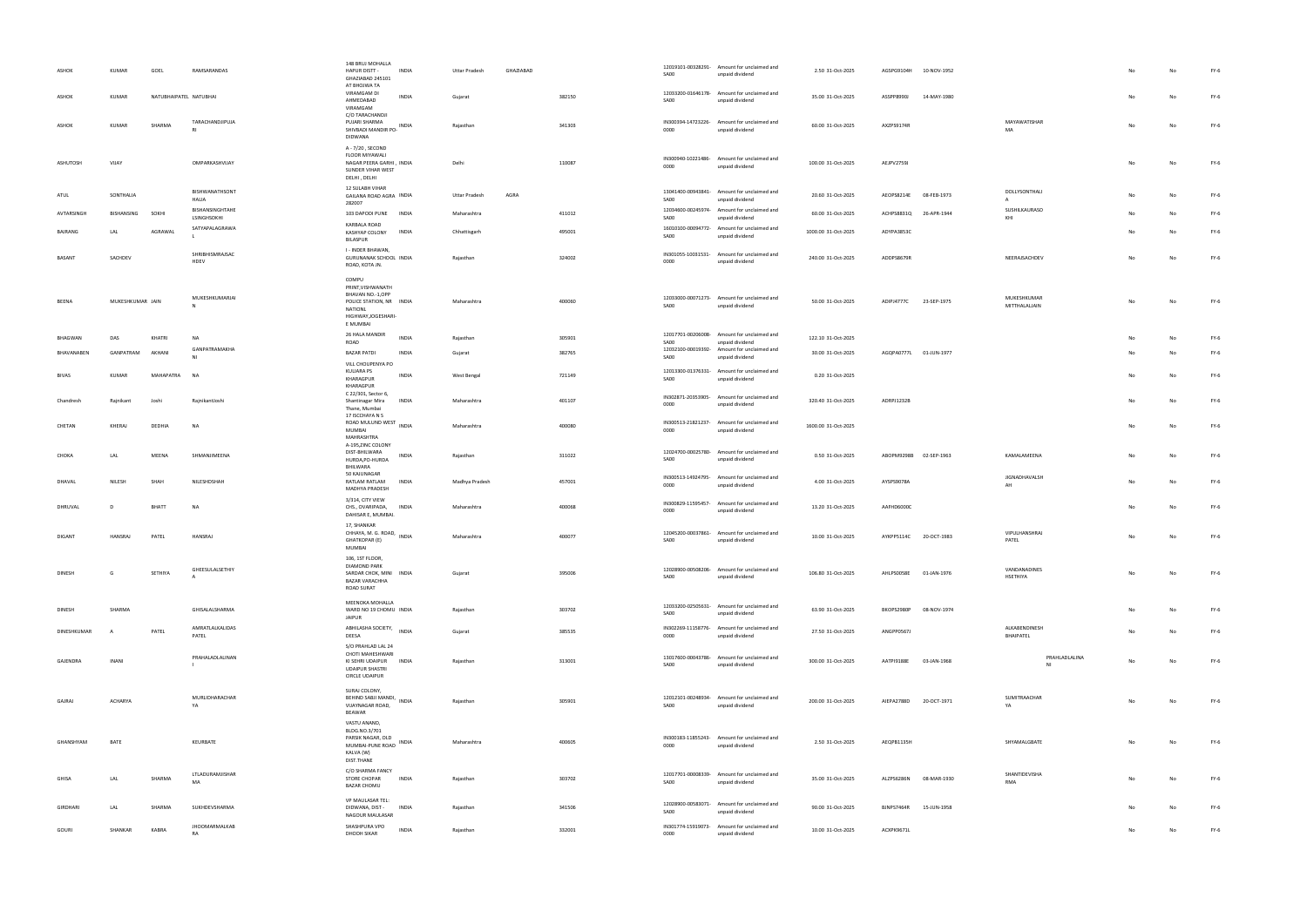| GOURI               | SHANKAR                 | KABRA                  | JHOOMARMALKAB<br>RA                        | SHASHPURA VPO<br>INDIA<br>DHODH SIKAR                                                                                  | Rajasthan                    |           | 332001           | 0000                               | IN301774-15919073- Amount for unclaimed and<br>unpaid dividend                                                | 10.00 31-Oct-2025                         | ACXPK9671L |                                       |                                                | No       | No | FY-6             |
|---------------------|-------------------------|------------------------|--------------------------------------------|------------------------------------------------------------------------------------------------------------------------|------------------------------|-----------|------------------|------------------------------------|---------------------------------------------------------------------------------------------------------------|-------------------------------------------|------------|---------------------------------------|------------------------------------------------|----------|----|------------------|
| GIRDHARI            | LAL                     | SHARMA                 | SUKHDEVSHARMA                              | VP MAULASAR TEL:<br>DIDWANA, DIST -<br><b>INDIA</b><br>NAGOUR MAULASAR                                                 | Rajasthan                    |           | 341506           | SA00                               | 12028900-00583071- Amount for unclaimed and<br>unpaid dividend                                                | 90.00 31-Oct-2025                         | BJNPS7464R | 15-JUN-1958                           |                                                |          |    | FY-6             |
| GHISA               | LAL                     | SHARMA                 | LTLADURAMJISHAR<br>MA                      | DIST.THANE<br>C/O SHARMA FANCY<br><b>STORE CHOPAR</b><br><b>INDIA</b><br><b>BAZAR CHOMU</b>                            | Rajasthan                    |           | 303702           | SA00                               | 12017701-00008339- Amount for unclaimed and<br>unpaid dividend                                                | 35.00 31-Oct-2025                         | ALZPS6286N | 08-MAR-1930                           | SHANTIDEVISHA<br>RMA                           | No       |    | FY-6             |
| GHANSHYAM           | BATE                    |                        | KEURBATE                                   | VASTU ANAND,<br>BLDG.NO.3/701<br>PARSIK NAGAR, OLD<br>INDIA<br>MUMBAI-PUNE ROAD<br>KALVA (W)                           | Maharashtra                  |           | 400605           | 0000                               | IN300183-11855243- Amount for unclaimed and<br>unpaid dividend                                                | 2.50 31-Oct-2025                          | AEQPB1135H |                                       | SHYAMALGBATE                                   | No       |    | FY-6             |
| GAJRAJ              | ACHARYA                 |                        | MURLIDHARACHAR<br>YA                       | SURAJ COLONY,<br>BEHIND SABJI MANDI,<br><b>INDIA</b><br>VIJAYNAGAR ROAD,<br>BEAWAR                                     | Rajasthan                    |           | 305901           | SA00                               | 12012101-00248934- Amount for unclaimed and<br>unpaid dividend                                                | 200.00 31-Oct-2025                        |            | AIEPA2788D 20-OCT-1971                | SUMITRAACHAR<br>YA                             |          |    | $FY-6$           |
| GAJENDRA            | <b>INANI</b>            |                        | PRAHALADLALINAN                            | S/O PRAHLAD LAL 24<br>CHOTI MAHESHWARI<br>KI SEHRI UDAIPUR INDIA<br><b>UDAIPUR SHASTRI</b><br>CIRCLE UDAIPUR           | Rajasthan                    |           | 313001           | SA00                               | 13017600-00043786- Amount for unclaimed and<br>unpaid dividend                                                | 300.00 31-Oct-2025                        | AATPI9188E | 03-JAN-1968                           | PRAHLADLALINA<br>NI                            |          |    | FY-6             |
| DINESHKUMAR         | A                       | PATEL                  | AMRATLALKALIDAS<br>PATEL                   | ABHILASHA SOCIETY, INDIA<br>DEESA                                                                                      | Gujarat                      |           | 385535           | 0000                               | IN302269-11158776- Amount for unclaimed and<br>unpaid dividend                                                | 27.50 31-Oct-2025                         | ANGPP0567J |                                       | ALKABENDINESH<br>BHAIPATEL                     |          |    | FY-6             |
| <b>DINESH</b>       | SHARMA                  |                        | GHISALALSHARMA                             | MEENOKA MOHALLA<br>WARD NO 19 CHOMU INDIA<br><b>JAIPUR</b>                                                             | Rajasthan                    |           | 303702           | SA00                               | 12033200-02505631- Amount for unclaimed and<br>unpaid dividend                                                | 63.90 31-Oct-2025                         |            | BKOPS2980P 08-NOV-1974                |                                                |          |    | FY-6             |
| DINESH              | G                       | SETHIYA                | GHEESULALSETHIY                            | 106, 1ST FLOOR,<br><b>DIAMOND PARK</b><br>SARDAR CHOK, MINI INDIA<br><b>BAZAR VARACHHA</b><br>ROAD SURAT               | Gujarat                      |           | 395006           | SA00                               | 12028900-00508206- Amount for unclaimed and<br>unpaid dividend                                                | 106.80 31-Oct-2025                        | AHLPS0058E | 01-JAN-1976                           | VANDANADINES<br>HSETHIYA                       | No       | No | $FY-6$           |
| <b>DIGANT</b>       | HANSRAJ                 | PATEL                  | <b>HANSRAJ</b>                             | 17, SHANKAR<br>CHHAYA, M. G. ROAD, INDIA<br><b>GHATKOPAR (E)</b><br>MUMBAI                                             | Maharashtra                  |           | 400077           | 12045200-00037861-<br>SA00         | Amount for unclaimed and<br>unpaid dividend                                                                   | 10.00 31-Oct-2025                         |            | AYKPP5114C 20-OCT-1983                | VIPULHANSHRAJ<br>PATEL                         |          |    | $FY-6$           |
| DHRUVAL             | D                       | BHATT                  | NA                                         | MADHYA PRADESH<br>3/314, CITY VIEW<br>CHS., OVARIPADA,<br>INDIA<br>DAHISAR E, MUMBAI.                                  | Maharashtra                  |           | 400068           | 0000                               | IN300829-11595457- Amount for unclaimed and<br>unpaid dividend                                                | 13.20 31-Oct-2025                         | AAFHD6000C |                                       |                                                | No       |    | FY-6             |
| DHAVAL              | NILESH                  | SHAH                   | NILESHDSHAH                                | HURDA, PO-HURDA<br>BHILWARA<br>50 KAJUNAGAR<br>RATLAM RATLAM<br>INDIA                                                  | Madhya Pradesh               |           | 457001           | SA00<br>0000                       | unpaid dividend<br>IN300513-14924795- Amount for unclaimed and<br>unpaid dividend                             | 4.00 31-Oct-2025                          | AYSPS9078A |                                       | JIGNADHAVALSH<br>AH                            |          |    | FY-6             |
| CHOKA               | LAL                     | MEENA                  | SHMANJIMEENA                               | MUMBAI<br>MAHRASHTRA<br>A-195, ZINC COLONY<br>DIST-BHILWARA<br><b>INDIA</b>                                            | Rajasthan                    |           | 311022           | 0000                               | unpaid dividend<br>12024700-00025780- Amount for unclaimed and                                                | 0.50 31-Oct-2025                          |            | ABOPM9298B 02-SEP-1963                | KAMALAMEENA                                    | No       |    | FY-6             |
| Chandresh<br>CHETAN | Rajnikant<br>KHERAJ     | Joshi<br>DEDHIA        | RajnikantJoshi<br><b>NA</b>                | INDIA<br>Shantinagar Mira<br>Thane, Mumbai<br>17 ISCCHAYA N S<br>ROAD MULUND WEST INDIA                                | Maharashtra<br>Maharashtra   |           | 401107<br>400080 | 0000                               | IN302871-20353905- Amount for unclaimed and<br>unpaid dividend<br>IN300513-21821237- Amount for unclaimed and | 320.40 31-Oct-2025<br>1600.00 31-Oct-2025 | ADRPJ1232B |                                       |                                                | No<br>No | No | $FY-6$<br>$FY-6$ |
| <b>BIVAS</b>        | KUMAR                   | MAHAPATRA              | <b>NA</b>                                  | KULIARA PS<br><b>INDIA</b><br>KHARAGPUR<br>KHARAGPUR<br>C 22/301, Sector 6,                                            | West Bengal                  |           | 721149           | SA00                               | 12013300-01376331- Amount for unclaimed and<br>unpaid dividend                                                | 0.20 31-Oct-2025                          |            |                                       |                                                | No       | No | $FY-6$           |
| BHAVANABEN          | GANPATRAM               | AKHANI                 | GANPATRAMAKHA<br>NI                        | <b>BAZAR PATDI</b><br><b>INDIA</b><br>VILL CHOUPENYA PO                                                                | Gujarat                      |           | 382765           | 12032100-00019392-<br>SA00         | Amount for unclaimed and<br>unpaid dividend                                                                   | 30.00 31-Oct-2025                         |            | AGQPA0777L 01-JUN-1977                |                                                | No       |    | $FY-6$           |
| <b>BHAGWAN</b>      | DAS                     | KHATRI                 | NA                                         | E MUMBAI<br>26 HALA MANDIR<br><b>INDIA</b><br>ROAD                                                                     | Rajasthan                    |           | 305901           | SA00                               | 12017701-00206008- Amount for unclaimed and<br>unpaid dividend                                                | 122.10 31-Oct-2025                        |            |                                       |                                                |          |    | $FY-6$           |
| BEENA               | MUKESHKUMAR JAIN        |                        | MUKESHKUMARJAI<br>N                        | COMPU<br>PRINT, VISHWANATH<br>BHAVAN NO.-1,OPP<br>POLICE STATION, NR INDIA<br>NATIONL<br>HIGHWAY, JOGESHARI-           | Maharashtra                  |           | 400060           | SA00                               | 12033000-00071273- Amount for unclaimed and<br>unpaid dividend                                                | 50.00 31-Oct-2025                         |            | ADIPJ4777C 23-SEP-1975                | MUKESHKUMAR<br>MITTHALALJAIN                   | No       | No | $FY-6$           |
| <b>BASANT</b>       | SACHDEV                 |                        | SHRIBHISMRAJSAC<br>HDEV                    | BILASPUR<br>I - INDER BHAWAN,<br>GURUNANAK SCHOOL INDIA<br>ROAD, KOTA JN.                                              | Rajasthan                    |           | 324002           | SA00<br>IN301055-10031531-<br>0000 | unpaid dividend<br>Amount for unclaimed and<br>unpaid dividend                                                | 240.00 31-Oct-2025                        | ADDPS8679R |                                       | NEERAJSACHDEV                                  | No       |    | FY-6             |
| BAJRANG             | LAL                     | AGRAWAL                | LSINGHSOKHI<br>SATYAPALAGRAWA              | KARBALA ROAD<br>KASHYAP COLONY<br><b>INDIA</b>                                                                         | Chhattisgarh                 |           | 495001           | SA00                               | unpaid dividend<br>16010100-00094772- Amount for unclaimed and                                                | 1000.00 31-Oct-2025                       | ADYPA3853C |                                       | KHI                                            | No       |    | $FY-6$           |
| ATUL<br>AVTARSINGH  | SONTHALIA<br>BISHANSING | SOKHI                  | BISHWANATHSONT<br>HALIA<br>BISHANSINGHTAHE | GAILANA ROAD AGRA INDIA<br>282007<br>103 DAPODI PUNE INDIA                                                             | Uttar Pradesh<br>Maharashtra | AGRA      | 411012           | SA00                               | 13041400-00943841- Amount for unclaimed and<br>unpaid dividend<br>12034600-00245974- Amount for unclaimed and | 20.60 31-Oct-2025<br>60.00 31-Oct-2025    | AEOPS8214E | 08-FEB-1973<br>ACHPS8831Q 26-APR-1944 | DOLLYSONTHALI<br>$\mathsf{A}$<br>SUSHILKAURASO | No<br>No |    | $FY-6$<br>$FY-6$ |
| ASHUTOSH            | VIJAY                   |                        | OMPARKASHVIJAY                             | A - 7/20, SECOND<br>FLOOR MIYAWALI<br>NAGAR PEERA GARHI, INDIA<br>SUNDER VIHAR WEST<br>DELHI, DELHI<br>12 SULABH VIHAR | Delhi                        |           | 110087           | 0000                               | IN300940-10221486- Amount for unclaimed and<br>unpaid dividend                                                | 100.00 31-Oct-2025                        | AEJPV2759J |                                       |                                                | No       | No | $FY-6$           |
| ASHOK               | KUMAR                   | SHARMA                 | TARACHANDJIPUJA                            | C/O TARACHANDJI<br>PUJARI SHARMA<br>SHIVBADI MANDIR PO- INDIA<br>DIDWANA                                               | Rajasthan                    |           | 341303           | 0000                               | IN300394-14723226- Amount for unclaimed and<br>unpaid dividend                                                | 60.00 31-Oct-2025                         | AXZPS9174R |                                       | MAYAWATISHAR<br>MA                             | No       |    | $FY-6$           |
| ASHOK               | KUMAR                   | NATUBHAIPATEL NATUBHAI |                                            | AT BHOJWA TA<br>VIRAMGAM DI<br><b>INDIA</b><br>AHMEDABAD<br>VIRAMGAM                                                   | Gujarat                      |           | 382150           | SA00                               | 12033200-01646178- Amount for unclaimed and<br>unpaid dividend                                                | 35.00 31-Oct-2025                         | ASSPP8990J | 14-MAY-1980                           |                                                | No       |    | $FY-6$           |
| ASHOK               | KUMAR                   | GOEL                   | RAMSARANDAS                                | 148 BRUJ MOHALLA<br>HAPUR DISTT -<br><b>INDIA</b><br>GHAZIABAD 245101                                                  | <b>Uttar Pradesh</b>         | GHAZIABAD |                  | SA00                               | 12019101-00328291- Amount for unclaimed and<br>unpaid dividend                                                | 2.50 31-Oct-2025                          | AGSPG9104H | 10-NOV-1952                           |                                                |          |    | $FY-6$           |

| 2.50 31-Oct-2025   | AGSPG9104H | 10-NOV-1952 |                              |                                         | No | No | FY-6   |
|--------------------|------------|-------------|------------------------------|-----------------------------------------|----|----|--------|
| 35.00 31-Oct-2025  | ASSPP8990J | 14-MAY-1980 |                              |                                         | No | No | FY-6   |
| 60.00 31-Oct-2025  | AXZPS9174R |             | MAYAWATISHAR<br>MA           |                                         | No | No | FY-6   |
| 100.00 31-Oct-2025 | AEJPV2759J |             |                              |                                         | No | No | FY-6   |
| 20.60 31-Oct-2025  | AEOPS8214E | 08-FEB-1973 | DOLLYSONTHALI<br>Α           |                                         | No | No | FY-6   |
| 60.00 31-Oct-2025  | ACHPS8831Q | 26-APR-1944 | SUSHILKAURASO<br>KHI         |                                         | No | No | FY-6   |
| 000.00 31-Oct-2025 | ADYPA3853C |             |                              |                                         | No | No | $FY-6$ |
| 240.00 31-Oct-2025 | ADDPS8679R |             | NEERAJSACHDEV                |                                         | No | No | FY-6   |
| 50.00 31-Oct-2025  | ADIPJ4777C | 23-SEP-1975 | MUKESHKUMAR<br>MITTHALALIAIN |                                         | No | No | FY-6   |
| 122.10 31-Oct-2025 |            |             |                              |                                         | No | No | $FY-6$ |
| 30.00 31-Oct-2025  | AGQPA0777L | 01-JUN-1977 |                              |                                         | No | No | FY-6   |
| 0.20 31-Oct-2025   |            |             |                              |                                         | No | No | FY-6   |
| 320.40 31-Oct-2025 | ADRPJ1232B |             |                              |                                         | No | No | FY-6   |
| 600.00 31-Oct-2025 |            |             |                              |                                         | No | No | FY-6   |
| 0.50 31-Oct-2025   | ABOPM9298B | 02-SEP-1963 | KAMALAMEENA                  |                                         | No | No | $FY-6$ |
| 4.00 31-Oct-2025   | AYSPS9078A |             | JIGNADHAVALSH<br>AH          |                                         | No | No | FY-6   |
| 13.20 31-Oct-2025  | AAFHD6000C |             |                              |                                         | No | No | FY-6   |
| 10.00 31-Oct-2025  | AYKPP5114C | 20-OCT-1983 | VIPULHANSHRAJ<br>PATEL       |                                         | No | No | $FY-6$ |
| 106.80 31-Oct-2025 | AHLPS0058E | 01-JAN-1976 | VANDANADINES<br>HSETHIYA     |                                         | No | No | FY-6   |
| 63.90 31-Oct-2025  | BKOPS2980P | 08-NOV-1974 |                              |                                         | No | No | FY-6   |
| 27.50 31-Oct-2025  | ANGPP0567J |             | ALKABENDINESH<br>BHAIPATEL   |                                         | No | No | $FY-6$ |
| 300.00 31-Oct-2025 | AATPI9188E | 03-JAN-1968 |                              | PRAHLADLALINA<br>$\mathsf{N}\mathsf{I}$ | No | No | FY-6   |
| 200.00 31-Oct-2025 | AIEPA2788D | 20-OCT-1971 | SUMITRAACHAR<br>YA           |                                         | No | No | FY-6   |
| 2.50 31-Oct-2025   | AEQPB1135H |             | SHYAMALGBATE                 |                                         | No | No | FY-6   |
| 35.00 31-Oct-2025  | ALZPS6286N | 08-MAR-1930 | SHANTIDEVISHA<br>RMA         |                                         | No | No | FY-6   |
| 90.00 31-Oct-2025  | BJNPS7464R | 15-JUN-1958 |                              |                                         | No | No | FY-6   |
| 10.00 31-Oct-2025  | ACXPK9671L |             |                              |                                         | No | No | FY-6   |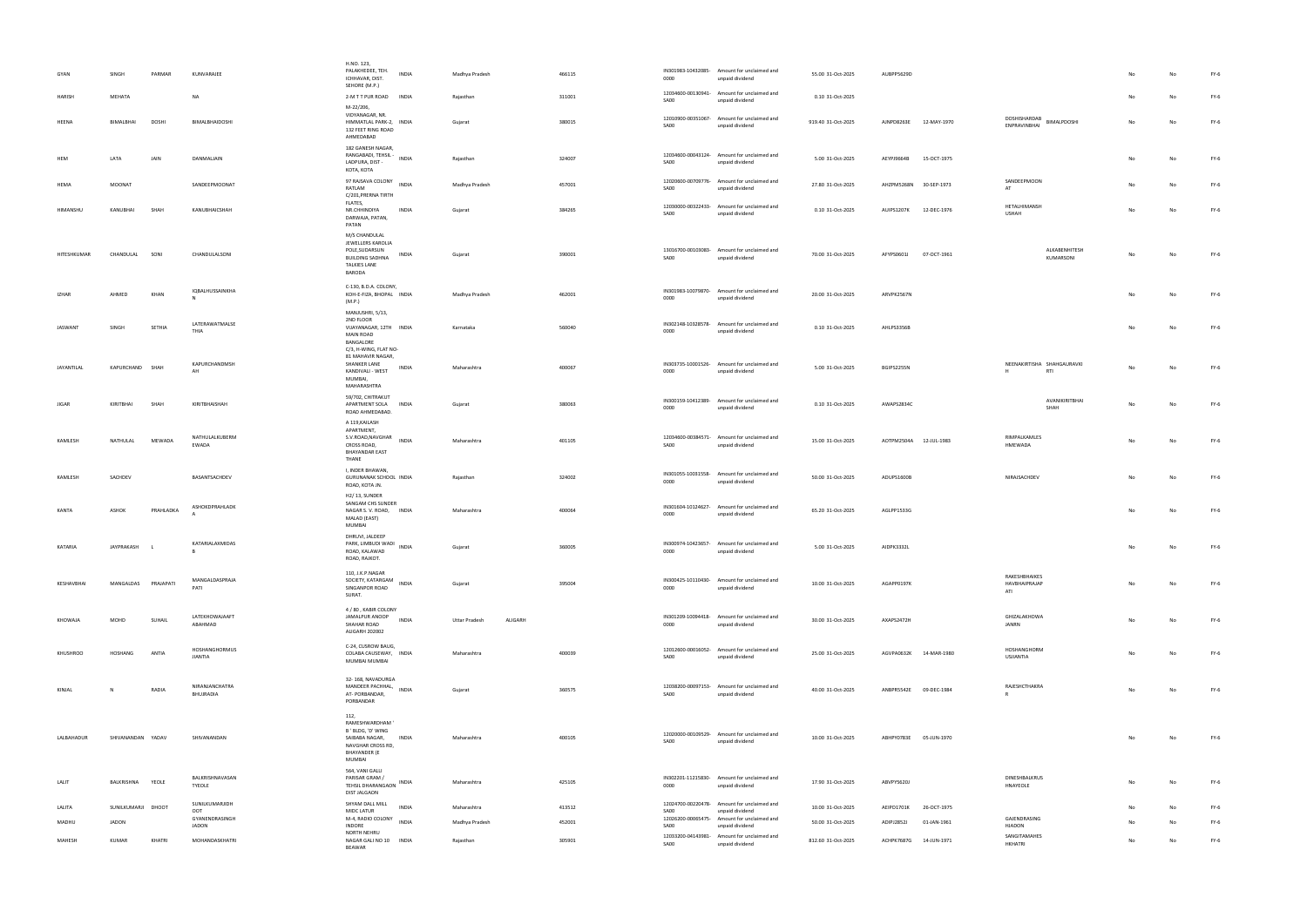|              |                     |             |                                 | H.NO. 123,                                                                                                                           |                                 |        |                            |                                                                |                    |                        |             |                                             |                |                |        |
|--------------|---------------------|-------------|---------------------------------|--------------------------------------------------------------------------------------------------------------------------------------|---------------------------------|--------|----------------------------|----------------------------------------------------------------|--------------------|------------------------|-------------|---------------------------------------------|----------------|----------------|--------|
| GYAN         | SINGH               | PARMAR      | KUNVARAJEE                      | PALAKHEDEE, TEH.<br><b>INDIA</b><br>ICHHAVAR, DIST.<br>SEHORE (M.P.)                                                                 | Madhya Pradesh                  | 466115 | 0000                       | IN301983-10432085- Amount for unclaimed and<br>unpaid dividend | 55.00 31-Oct-2025  | AUBPP5629D             |             |                                             |                |                | FY-6   |
| HARISH       | MEHATA              |             | NA                              | 2-M T T PUR ROAD<br><b>INDIA</b>                                                                                                     | Rajasthan                       | 311001 | SA00                       | 12034600-00130941- Amount for unclaimed and<br>unpaid dividend | 0.10 31-Oct-2025   |                        |             |                                             |                |                | $FY-6$ |
| HEENA        | BIMALBHAI           | DOSHI       | BIMALBHAIDOSHI                  | M-22/206,<br>VIDYANAGAR, NR.<br>HIMMATLAL PARK-2, INDIA<br>132 FEET RING ROAD<br>AHMEDABAD                                           | Gujarat                         | 380015 | 12010900-00351067-<br>SA00 | Amount for unclaimed and<br>unpaid dividend                    | 919.40 31-Oct-2025 | AJNPD8263E             | 12-MAY-1970 | DOSHISHARDAB<br>BIMALPDOSHI<br>ENPRAVINBHAI | No             | No             | $FY-6$ |
| HEM          | LATA                | JAIN        | DANMALJAIN                      | 182 GANESH NAGAR,<br>RANGABADI, TEHSIL -<br>INDIA<br>LADPURA, DIST -<br>KOTA, KOTA                                                   | Rajasthan                       | 324007 | SA00                       | 12034600-00043124- Amount for unclaimed and<br>unpaid dividend | 5.00 31-Oct-2025   | AEYPJ9664B             | 15-OCT-1975 |                                             | No             | N <sub>0</sub> | $FY-6$ |
| HEMA         | <b>MOONAT</b>       |             | SANDEEPMOONAT                   | 97 RAJSAVA COLONY INDIA<br>RATLAM<br>C/201, PRERNA TIRTH                                                                             | Madhya Pradesh                  | 457001 | 12020600-00709776-<br>SA00 | Amount for unclaimed and<br>unpaid dividend                    | 27.80 31-Oct-2025  | AHZPM5268N 30-SEP-1973 |             | SANDEEPMOON<br>AT                           | No             |                | $FY-6$ |
| HIMANSHU     | KANUBHAI            | SHAH        | KANUBHAICSHAH                   | FLATES,<br>NR.CHHINDIYA<br><b>INDIA</b><br>DARWAJA, PATAN,<br>PATAN                                                                  | Gujarat                         | 384265 | 12030000-00322433-<br>SA00 | Amount for unclaimed and<br>unpaid dividend                    | 0.10 31-Oct-2025   | AUIPS1207K             | 12-DEC-1976 | HETALHIMANSH<br><b>USHAH</b>                | No             | No             | $FY-6$ |
| HITESHKUMAR  | CHANDULAL           | SONI        | CHANDULALSONI                   | M/S CHANDULAL<br>JEWELLERS KAROLIA<br>POLE, SUDARSUN<br>INDIA<br><b>BUILDING SADHNA</b><br><b>TALKIES LANE</b><br><b>BARODA</b>      | Gujarat                         | 390001 | SA00                       | 13016700-00103083- Amount for unclaimed and<br>unpaid dividend | 70.00 31-Oct-2025  | AFYPS0601J             | 07-OCT-1961 | ALKABENHITESH<br>KUMARSONI                  |                |                | $FY-6$ |
| IZHAR        | AHMED               | KHAN        | IQBALHUSSAINKHA                 | C-130, B.D.A. COLONY,<br>KOH-E-FIZA, BHOPAL INDIA<br>(M.P.)                                                                          | Madhya Pradesh                  | 462001 | 0000                       | IN301983-10079870- Amount for unclaimed and<br>unpaid dividend | 20.00 31-Oct-2025  | ARVPK2567N             |             |                                             | No             |                | $FY-6$ |
| JASWANT      | SINGH               | SETHIA      | LATERAWATMALSE<br>THIA          | MANJUSHRI, 5/13,<br>2ND FLOOR<br>VIJAYANAGAR, 12TH INDIA<br><b>MAIN ROAD</b><br>BANGALORE<br>C/3, H-WING, FLAT NO-                   | Karnataka                       | 560040 | IN302148-10328578-<br>0000 | Amount for unclaimed and<br>unpaid dividend                    | 0.10 31-Oct-2025   | AHLPS3356B             |             |                                             |                |                | FY-6   |
| JAYANTILAL   | KAPURCHAND SHAH     |             | KAPURCHANDMSH<br>$\Delta H$     | 81 MAHAVIR NAGAR,<br>SHANKER LANE<br>INDIA<br>KANDIVALI - WEST<br>MUMBAI,<br>MAHARASHTRA                                             | Maharashtra                     | 400067 | 0000                       | IN303735-10001526- Amount for unclaimed and<br>unpaid dividend | 5.00 31-Oct-2025   | BGIPS2255N             |             | NEENAKIRTISHA SHAHGAURAVKI<br>RTI<br>H      | No             | No             | $FY-6$ |
| <b>JIGAR</b> | KIRITBHAI           | <b>SHAF</b> | KIRITBHAISHAH                   | 59/702, CHITRAKUT<br>APARTMENT SOLA<br><b>INDIA</b><br>ROAD AHMEDABAD.<br>A 119, KAILASH                                             | Gujarat                         | 380063 | 0000                       | IN300159-10412389- Amount for unclaimed and<br>unpaid dividend | 0.10 31-Oct-2025   | AWAPS2834C             |             | AVANIKIRITBHAI<br>SHAH                      |                |                | FY-6   |
| KAMLESH      | NATHULAL            | MEWADA      | NATHULALKUBERM<br>EWADA         | APARTMENT,<br>S.V.ROAD, NAVGHAR<br><b>INDIA</b><br>CROSS ROAD,<br><b>BHAYANDAR EAST</b><br>THANE                                     | Maharashtra                     | 401105 | 12034600-00384571-<br>SA00 | Amount for unclaimed and<br>unpaid dividend                    | 15.00 31-Oct-2025  | AOTPM2504A 12-JUL-1983 |             | RIMPALKAMLES<br>HMEWADA                     | No             |                | FY-6   |
| KAMLESH      | SACHDEV             |             | BASANTSACHDEV                   | I, INDER BHAWAN,<br>GURUNANAK SCHOOL INDIA<br>ROAD, KOTA JN.                                                                         | Rajasthan                       | 324002 | 0000                       | IN301055-10031558- Amount for unclaimed and<br>unpaid dividend | 50.00 31-Oct-2025  | ADUPS1600B             |             | NIRAJSACHDEV                                | No             |                | $FY-6$ |
| KANTA        | ASHOK               | PRAHLADKA   | ASHOKDPRAHLADK                  | H2/13, SUNDER<br>SANGAM CHS SUNDER<br>NAGAR S. V. ROAD,<br><b>INDIA</b><br>MALAD (EAST)<br>MUMBAI                                    | Maharashtra                     | 400064 | IN301604-10124627-<br>0000 | Amount for unclaimed and<br>unpaid dividend                    | 65.20 31-Oct-2025  | AGLPP1533G             |             |                                             |                |                | $FY-6$ |
| KATARIA      | JAYPRAKASH          |             | KATARIALAXMIDAS<br><b>B</b>     | DHRUVI, JALDEEP<br>PARK, LIMBUDI WADI<br><b>INDIA</b><br>ROAD, KALAWAD<br>ROAD, RAJKOT.                                              | Gujarat                         | 360005 | 0000                       | IN300974-10423657- Amount for unclaimed and<br>unpaid dividend | 5.00 31-Oct-2025   | AIDPK3332L             |             |                                             |                | No             | $FY-6$ |
| KESHAVBHAI   | MANGALDAS PRAJAPATI |             | MANGALDASPRAJA<br>PATI          | 110, J.K.P.NAGAR<br>SOCIETY, KATARGAM<br><b>INDIA</b><br>SINGANPOR ROAD<br>SURAT.                                                    | Gujarat                         | 395004 | 0000                       | IN300425-10110430- Amount for unclaimed and<br>unpaid dividend | 10.00 31-Oct-2025  | AGAPP0197K             |             | RAKESHBHAIKES<br>HAVBHAIPRAJAP<br>ATI       | No             |                | $FY-6$ |
| KHOWAJA      | MOHD                | SUHAIL      | LATEKHOWAJAAFT<br>ABAHMAD       | 4 / 80, KABIR COLONY<br>JAMALPUR ANOOP<br><b>INDIA</b><br>SHAHAR ROAD<br>ALIGARH 202002                                              | <b>Uttar Pradesh</b><br>ALIGARH |        | 0000                       | IN301209-10094418- Amount for unclaimed and<br>unpaid dividend | 30.00 31-Oct-2025  | AXAPS2472H             |             | GHIZALAKHOWA<br>JANRN                       |                |                | $FY-6$ |
| KHUSHROO     | HOSHANG             | ANTIA       | HOSHANGHORMUS<br><b>JIANTIA</b> | C-24, CUSROW BAUG,<br>COLABA CAUSEWAY, INDIA<br>MUMBAI MUMBAI                                                                        | Maharashtra                     | 400039 | SA00                       | 12012600-00016052- Amount for unclaimed and<br>unpaid dividend | 25.00 31-Oct-2025  | AGVPA0632K 14-MAR-1980 |             | HOSHANGHORM<br>USJIANTIA                    | N <sub>0</sub> |                | $FY-6$ |
| KINJAL       | N                   | RADIA       | NIRANJANCHATRA<br>BHUJRADIA     | 32-168, NAVADURGA<br>MANDEER PACHHAL, INDIA<br>AT-PORBANDAR,<br>PORBANDAR                                                            | Gujarat                         | 360575 | SA00                       | 12038200-00097153- Amount for unclaimed and<br>unpaid dividend | 40.00 31-Oct-2025  | ANBPR5542E 09-DEC-1984 |             | RAJESHCTHAKRA<br>R.                         | No             | No             | $FY-6$ |
| LALBAHADUR   | SHIVANANDAN YADAV   |             | SHIVANANDAN                     | 112,<br>RAMESHWARDHAM'<br>B ' BLDG, 'D' WING<br>SAIBABA NAGAR,<br><b>INDIA</b><br>NAVGHAR CROSS RD,<br><b>BHAYANDER (E</b><br>MUMBAI | Maharashtra                     | 400105 | SA00                       | 12020000-00109529- Amount for unclaimed and<br>unpaid dividend | 10.00 31-Oct-2025  | ABHPY0783E 05-JUN-1970 |             |                                             |                | No             | $FY-6$ |
| LALIT        | BALKRISHNA YEOLE    |             | BALKRISHNAVASAN<br>TYEOLE       | 564, VANI GALLI<br>PARISAR GRAM /<br>INDIA<br>TEHSIL DHARANGAON<br>DIST JALGAON                                                      | Maharashtra                     | 425105 | 0000                       | IN302201-11215830- Amount for unclaimed and<br>unpaid dividend | 17.90 31-Oct-2025  | ABVPY5620J             |             | DINESHBALKRUS<br>HNAYEOLE                   | No             |                | FY-6   |
| LALITA       | SUNILKUMARJI DHOOT  |             | SUNILKUMARJIDH<br>OOT           | SHYAM DALL MILL<br><b>INDIA</b><br>MIDC LATUR                                                                                        | Maharashtra                     | 413512 | SA00                       | 12024700-00220478- Amount for unclaimed and<br>unpaid dividend | 10.00 31-Oct-2025  | AEIPD1701K             | 26-OCT-1975 |                                             |                |                | $FY-6$ |
| MADHU        | JADON               |             | GYANENDRASINGH<br>JADON         | M-4, RADIO COLONY INDIA<br><b>INDORE</b>                                                                                             | Madhya Pradesh                  | 452001 | SA00                       | 12026200-00065475- Amount for unclaimed and<br>unpaid dividend | 50.00 31-Oct-2025  | ADIPJ2852J             | 01-JAN-1961 | GAJENDRASING<br><b>HJADON</b>               |                |                | FY-6   |
|              |                     |             |                                 | NORTH NEHRU                                                                                                                          |                                 |        | 12033200-04143981-         | Amount for unclaimed and                                       |                    |                        |             | SANGITAMAHES                                |                |                |        |
| MAHESH       | KUMAR               | KHATRI      | MOHANDASKHATRI                  | NAGAR GALI NO 10 INDIA<br>BEAWAR                                                                                                     | Rajasthan                       | 305901 | SA00                       | unpaid dividend                                                | 812.60 31-Oct-2025 | ACHPK7687G 14-JUN-1971 |             | HKHATRI                                     | No             |                | $FY-6$ |

| 55.00 31-Oct-2025 | AUBPP5629D |             |                                       |                            | No | No | FY-6   |
|-------------------|------------|-------------|---------------------------------------|----------------------------|----|----|--------|
| 0.10 31-Oct-2025  |            |             |                                       |                            | No | No | FY-6   |
| 19.40 31-Oct-2025 | AJNPD8263E | 12-MAY-1970 | DOSHISHARDAB<br><b>ENPRAVINBHAI</b>   | BIMALPDOSHI                | No | No | FY-6   |
| 5.00 31-Oct-2025  | AEYPJ9664B | 15-OCT-1975 |                                       |                            | No | No | FY-6   |
| 27.80 31-Oct-2025 | AHZPM5268N | 30-SEP-1973 | SANDEEPMOON<br>AT                     |                            | No | No | $FY-6$ |
| 0.10 31-Oct-2025  | AUIPS1207K | 12-DEC-1976 | HETALHIMANSH<br><b>USHAH</b>          |                            | No | No | FY-6   |
| 70.00 31-Oct-2025 | AFYPS0601J | 07-OCT-1961 |                                       | ALKABENHITESH<br>KUMARSONI | No | No | $FY-6$ |
| 20.00 31-Oct-2025 | ARVPK2567N |             |                                       |                            | No | No | FY-6   |
| 0.10 31-Oct-2025  | AHLPS3356B |             |                                       |                            | No | No | FY-6   |
| 5.00 31-Oct-2025  | BGIPS2255N |             | NEENAKIRTISHA SHAHGAURAVKI<br>н       | RTI                        | No | No | FY-6   |
| 0.10 31-Oct-2025  | AWAPS2834C |             |                                       | AVANIKIRITBHAI<br>SHAH     | No | No | FY-6   |
| 15.00 31-Oct-2025 | AOTPM2504A | 12-JUL-1983 | RIMPALKAMLES<br>HMEWADA               |                            | No | No | FY-6   |
| 50.00 31-Oct-2025 | ADUPS1600B |             | NIRAJSACHDEV                          |                            | No | No | FY-6   |
| 65.20 31-Oct-2025 | AGLPP1533G |             |                                       |                            | No | No | $FY-6$ |
| 5.00 31-Oct-2025  | AIDPK3332L |             |                                       |                            | No | No | FY-6   |
| 10.00 31-Oct-2025 | AGAPP0197K |             | RAKESHBHAIKES<br>HAVBHAIPRAJAP<br>ATI |                            | No | No | FY-6   |
| 30.00 31-Oct-2025 | AXAPS2472H |             | GHIZALAKHOWA<br>JANRN                 |                            | No | No | FY-6   |
| 25.00 31-Oct-2025 | AGVPA0632K | 14-MAR-1980 | HOSHANGHORM<br><b>USJIANTIA</b>       |                            | No | No | FY-6   |
| 40.00 31-Oct-2025 | ANBPR5542E | 09-DEC-1984 | RAJESHCTHAKRA<br>R                    |                            | No | No | FY-6   |
| 10.00 31-Oct-2025 | ABHPY0783E | 05-JUN-1970 |                                       |                            | No | No | FY-6   |
| 17.90 31-Oct-2025 | ABVPY5620J |             | DINESHBALKRUS<br>HNAYEOLE             |                            | No | No | FY-6   |
| 10.00 31-Oct-2025 | AEIPD1701K | 26-OCT-1975 |                                       |                            | No | No | FY-6   |
| 50.00 31-Oct-2025 | ADIPJ2852J | 01-JAN-1961 | GAJENDRASING<br><b>HJADON</b>         |                            | No | No | FY-6   |
| 12.60 31-Oct-2025 | ACHPK7687G | 14-JUN-1971 | SANGITAMAHES<br>HKHATRI               |                            | No | No | FY-6   |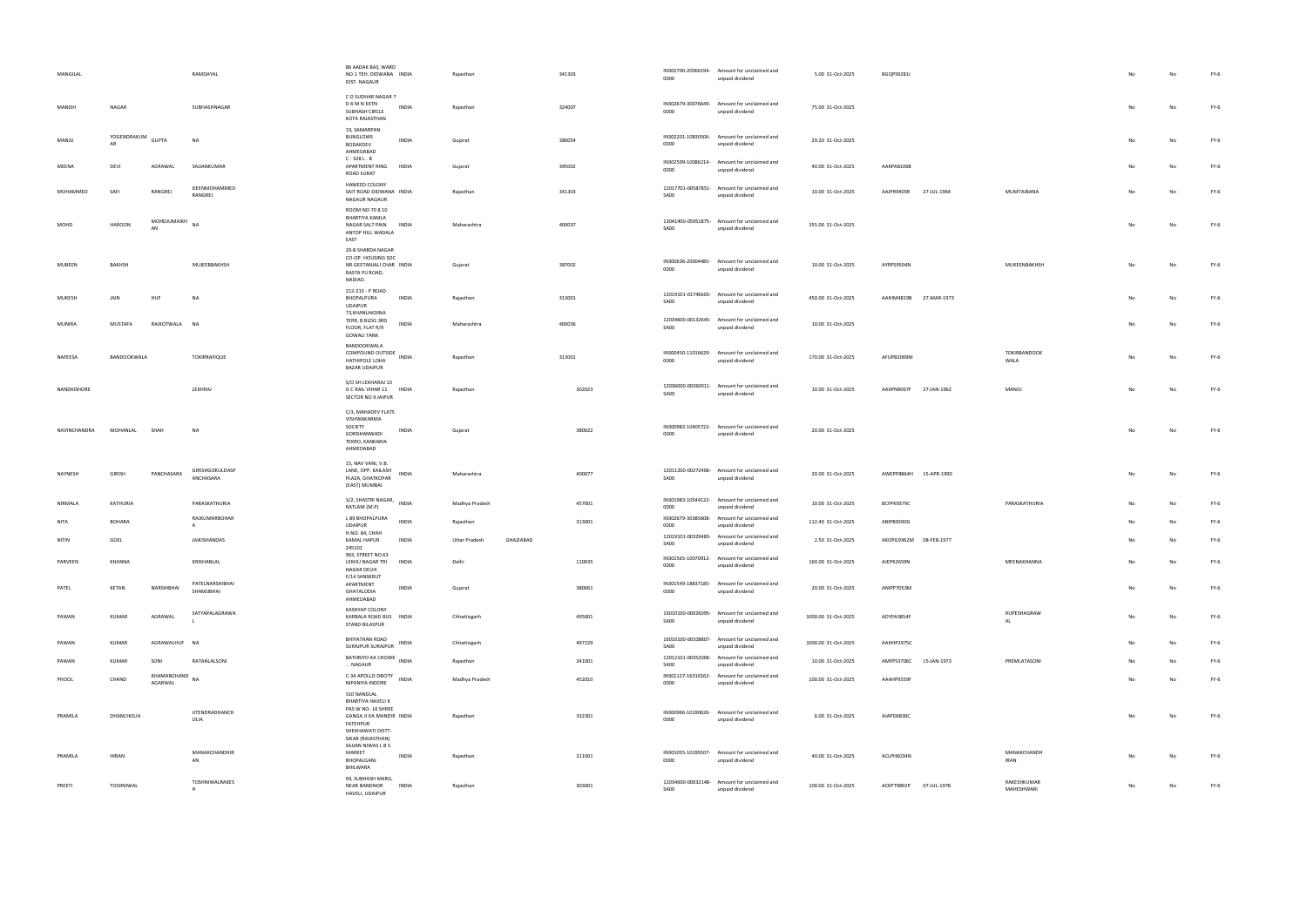| MANGILAL     |                                    | RAMDAYAL                      | 86 AADAK BAS, WARD<br>NO.1 TEH. DIDWANA INDIA<br><b>DIST-NAGAUR</b>                                                                             | Rajasthan      |           | 341303 | 0000                       | IN302700-20066194- Amount for unclaimed and<br>unpaid dividend | 5.00 31-Oct-2025    | BGQPS9281J             |                            |    |    | FY-6   |
|--------------|------------------------------------|-------------------------------|-------------------------------------------------------------------------------------------------------------------------------------------------|----------------|-----------|--------|----------------------------|----------------------------------------------------------------|---------------------|------------------------|----------------------------|----|----|--------|
| MANISH       | NAGAR                              | SUBHASHNAGAR                  | CO SUDHAR NAGAR 7<br>D 6 M N EXTN<br>INDIA<br>SUBHASH CIRCLE<br>KOTA RAJASTHAN                                                                  | Rajasthan      |           | 324007 | 0000                       | IN302679-30076649- Amount for unclaimed and<br>unpaid dividend | 75.00 31-Oct-2025   |                        |                            | No |    | $FY-6$ |
| MANJU        | YOGENDRAKUM<br><b>GUPTA</b><br>AR  | N                             | 19, SAMARPAN<br>BUNGLOWS<br><b>INDIA</b><br>BODAKDEV<br>AHMEDABAD                                                                               | Gujarat        |           | 380054 | 0000                       | IN302201-10830506- Amount for unclaimed and<br>unpaid dividend | 29.20 31-Oct-2025   |                        |                            |    |    | $FY-6$ |
| MEENA        | DEVI<br>AGRAWAL                    | SAJJANKUMAR                   | $C - 328 L$ . B<br>APARTMENT RING<br><b>INDIA</b><br>ROAD SURAT                                                                                 | Gujarat        |           | 395002 | 0000                       | IN302599-10086214- Amount for unclaimed and<br>unpaid dividend | 40.00 31-Oct-2025   | AAKPA8106B             |                            |    |    | $FY-6$ |
| MOHAMMED     | RANGREJ<br>SAFI                    | DEENMOHAMMED<br>RANGREJ       | HAMEED COLONY<br>SAIT ROAD DIDWANA INDIA<br>NAGAUR NAGAUR                                                                                       | Rajasthan      |           | 341303 | SA00                       | 12017701-00587851- Amount for unclaimed and<br>unpaid dividend | 10.00 31-Oct-2025   | AAJPR9405R 27-JUL-1964 | MUMTAJBANA                 |    |    | $FY-6$ |
| MOHD         | MOHDJUMAIKH<br><b>HAROON</b><br>AN | <b>NA</b>                     | ROOM NO 70 8 10<br><b>BHARTIYA KAMLA</b><br>NAGAR SALT PAIN<br><b>INDIA</b><br>ANTOP HILL WADALA<br>EAST                                        | Maharashtra    |           | 400037 | SA00                       | 13041400-05951875- Amount for unclaimed and<br>unpaid dividend | 355.00 31-Oct-2025  |                        |                            |    |    | $FY-6$ |
| MUBEEN       | BAKHSH                             | MUJEEBBAKHSH                  | 20-B SHARDA NAGAR<br>CO-OP. HOUSING SOC<br>NR.GEETANJALI CHAR INDIA<br>RASTA PIJ ROAD.<br>NADIAD.                                               | Gujarat        |           | 387002 | 0000                       | IN300636-20004485- Amount for unclaimed and<br>unpaid dividend | 10.00 31-Oct-2025   | AYRPS9504N             | MUKEENBAKHSH               | No |    | $FY-6$ |
| MUKESH       | JAIN<br>HUF                        | <b>NA</b>                     | 212-213 - P ROAD<br>BHOPALPURA<br>INDIA<br><b>UDAIPUR</b>                                                                                       | Rajasthan      |           | 313001 | SA00                       | 12019101-01746603- Amount for unclaimed and<br>unpaid dividend | 450.00 31-Oct-2025  | AAIHM4819B 27-MAR-1973 |                            |    |    | $FY-6$ |
| MUNIRA       | MUSTAFA<br>RAJKOTWALA              | <b>NA</b>                     | 73, KHANLAKDINA<br>TERR, B BLDG 3RD<br><b>INDIA</b><br>FLOOR, FLAT R/9<br><b>GOWALI TANK</b>                                                    | Maharashtra    |           | 400036 | SA00                       | 12034600-00132645- Amount for unclaimed and<br>unpaid dividend | 10.00 31-Oct-2025   |                        |                            |    |    | $FY-6$ |
| NAFEESA      | BANDOOKWALA                        | TOKIRRAFIQUE                  | BANDOOKWALA<br>COMPOUND OUTSIDE INDIA<br>HATHIPOLE LOHA<br><b>BAZAR UDAIPUR</b>                                                                 | Rajasthan      |           | 313001 | 0000                       | IN300450-11016629- Amount for unclaimed and<br>unpaid dividend | 170.00 31-Oct-2025  | AFUPB2069M             | TOKIRBANDOOK<br>WALA       |    |    | $FY-6$ |
| NANDKISHORE  |                                    | LEKHRAJ                       | S/O SH LEKHARAJ 13<br>G C RAIL VIHAR 11<br>INDIA<br>SECTOR NO 9 JAIPUR                                                                          | Rajasthan      |           | 302023 | SA00                       | 12036000-00260011- Amount for unclaimed and<br>unpaid dividend | 10.00 31-Oct-2025   | AAXPN9067F 27-JAN-1962 | MANJU                      |    |    | $FY-6$ |
| NAVINCHANDRA | MOHANLAL<br>SHAH                   | <b>NA</b>                     | C/3, MAHADEV FLATS<br>VISHWAKARMA<br>SOCIETY<br>INDIA<br>GORDHANWADI<br>TEKRO, KANKARIA<br>AHMEDABAD                                            | Gujarat        |           | 380022 | 0000                       | IN300982-10405722- Amount for unclaimed and<br>unpaid dividend | 20.00 31-Oct-2025   |                        |                            |    |    | FY-6   |
| NAYNESH      | GIRISH<br>PANCHASARA               | GIRISHGOKULDASP<br>ANCHASARA  | 15, NAV VANI, V.B.<br>LANE, OPP. KAILASH<br>INDIA<br>PLAZA, GHATKOPAR<br>(EAST) MUMBAI                                                          | Maharashtra    |           | 400077 | SA00                       | 12011200-00272406- Amount for unclaimed and<br>unpaid dividend | 20.00 31-Oct-2025   | AWEPP8864H 15-APR-1990 |                            |    |    | FY-6   |
| NIRMALA      | KATHURIA                           | PARASKATHURIA                 | 3/2, SHASTRI NAGAR, INDIA<br>RATLAM (M.P)                                                                                                       | Madhya Pradesh |           | 457001 | 0000                       | IN301983-10544122- Amount for unclaimed and<br>unpaid dividend | 10.00 31-Oct-2025   | BCFPK9379C             | PARASKATHURIA              | No |    | $FY-6$ |
| NITA         | <b>BOHARA</b>                      | RAJKUMARBOHAR<br>$\mathsf{A}$ | L 89 BHOPALPURA<br><b>INDIA</b><br><b>UDAIPUR</b>                                                                                               | Rajasthan      |           | 313001 | 0000                       | IN302679-30385608- Amount for unclaimed and<br>unpaid dividend | 112.40 31-Oct-2025  | ABIPB9200G             |                            |    |    | $FY-6$ |
| NITIN        | GOEL                               | JAIKISHANDAS                  | H.NO. 84, CHAH<br>KAMAL HAPUR<br>INDIA<br>245101                                                                                                | Uttar Pradesh  | GHAZIABAD |        | SA00                       | 12019101-00329483- Amount for unclaimed and<br>unpaid dividend | 2.50 31-Oct-2025    | AKOPG9362M 08-FEB-1977 |                            |    |    | FY-6   |
| PARVEEN      | KHANNA                             | KRISHANLAL                    | 963, STREET NO 63<br>LEKHU NAGAR TRI INDIA<br>NAGAR DELHI<br>F/14 SANSKRUT                                                                      | Delhi          |           | 110035 | 0000                       | IN301565-10070912- Amount for unclaimed and<br>unpaid dividend | 160.00 31-Oct-2025  | AJEPK2659N             | MEENAKHANNA                | No |    | $FY-6$ |
| PATEL        | KETAN<br>NARSHIBHAI                | PATELNARSHIBHAI<br>SHAMJIBHAI | APARTMENT<br><b>INDIA</b><br>GHATALODIA<br>AHMEDABAD                                                                                            | Gujarat        |           | 380061 | 0000                       | IN301549-18837185- Amount for unclaimed and<br>unpaid dividend | 20.00 31-Oct-2025   | ANIPP7053M             |                            | No |    | $FY-6$ |
| PAWAN        | AGRAWAL<br>KUMAR                   | SATYAPALAGRAWA                | KASHYAP COLONY<br>KARBALA ROAD BUS INDIA<br><b>STAND BILASPUR</b>                                                                               | Chhattisgarh   |           | 495001 | SA00                       | 16010100-00026095- Amount for unclaimed and<br>unpaid dividend | 1000.00 31-Oct-2025 | ADYPA3854F             | RUPESHAGRAW<br>AL          | No |    | $FY-6$ |
| PAWAN        | KUMAR                              | AGRAWALHUF NA                 | <b>BHIYATHAN ROAD</b><br>INDIA<br>SURAJPUR SURAJPUR                                                                                             | Chhattisgarh   |           | 497229 | SA00                       | 16010100-00108807- Amount for unclaimed and<br>unpaid dividend | 1000.00 31-Oct-2025 | AAHHP2975C             |                            | No | No | $FY-6$ |
| PAWAN        | KUMAR<br>SONI                      | RATANLALSONI                  | BATHRIYO KA CHOWK INDIA<br>NAGAUR                                                                                                               | Rajasthan      |           | 341001 | SA00                       | 12012101-00352006- Amount for unclaimed and<br>unpaid dividend | 10.00 31-Oct-2025   | AMFPS3706C 15-JAN-1973 | PREMLATASONI               | No |    | $FY-6$ |
| PHOOL        | CHAND<br>AGARWAL                   | KHAMANCHAND<br><b>NA</b>      | C-34 APOLLO DBCITY<br><b>INDIA</b><br>NIPANIYA INDORE<br>310 NANDLAL                                                                            | Madhya Pradesh |           | 452010 | IN301127-16310162-<br>0000 | Amount for unclaimed and<br>unpaid dividend                    | 100.00 31-Oct-2025  | AAAHP9559F             |                            | No |    | $FY-6$ |
| PRAMILA      | DHANCHOLIA                         | <b>JITENDRADHANCH</b><br>OLIA | BHARTIYA HAVELI K<br>PAS W NO- 16 SHREE<br>GANGA JI KA MANDIR INDIA<br>FATEHPUR<br>SHEKHAWATI DISTT-<br>SIKAR (RAJASTHAN)<br>SAJJAN NIWAS L B S | Rajasthan      |           | 332301 | 0000                       | IN300966-10190626- Amount for unclaimed and<br>unpaid dividend | 6.00 31-Oct-2025    | AJAPD6830C             |                            | No | No | $FY-6$ |
| PRAMILA      | HIRAN                              | MANAKCHANDHIR<br>AN           | MARKET<br><b>INDIA</b><br>BHOPALGANJ<br>BHILWARA                                                                                                | Rajasthan      |           | 311001 | 0000                       | IN301055-10199107- Amount for unclaimed and<br>unpaid dividend | 40.00 31-Oct-2025   | ACLPH6034N             | MANAKCHANDH<br><b>IRAN</b> | No |    | $FY-6$ |
| PREETI       | TOSHNIWAL                          | TOSHNIWALRAKES<br>H           | 69, SUBHASH MARG,<br><b>NEAR BANDNOR</b><br><b>INDIA</b><br>HAVELI, UDAIPUR                                                                     | Rajasthan      |           | 303001 | SA00                       | 12034600-00032148- Amount for unclaimed and<br>unpaid dividend | 100.00 31-Oct-2025  | ACKPT9892P 07-JUL-1978 | RAKESHKUMAR<br>MAHESHWARI  | No |    | FY-6   |

| 5.00 31-Oct-2025   | BGQPS9281J |             |                            | No            | No | FY-6   |
|--------------------|------------|-------------|----------------------------|---------------|----|--------|
| 75.00 31-Oct-2025  |            |             |                            | No            | No | FY-6   |
| 29.20 31-Oct-2025  |            |             |                            | No            | No | FY-6   |
| 40.00 31-Oct-2025  | AAKPA8106B |             |                            | No            | No | FY-6   |
| 10.00 31-Oct-2025  | AAJPR9405R | 27-JUL-1964 | MUMTAJBANA                 | No            | No | FY-6   |
| 355.00 31-Oct-2025 |            |             |                            | No            | No | FY-6   |
| 10.00 31-Oct-2025  | AYRPS9504N |             | MUKEENBAKHSH               | No            | No | FY-6   |
| 450.00 31-Oct-2025 | AAIHM4819B | 27-MAR-1973 |                            | No            | No | FY-6   |
| 10.00 31-Oct-2025  |            |             |                            | No            | No | FY-6   |
| 170.00 31-Oct-2025 | AFUPB2069M |             | TOKIRBANDOOK<br>WALA       | No            | No | FY-6   |
| 10.00 31-Oct-2025  | AAXPN9067F | 27-JAN-1962 | MANJU                      | No            | No | FY-6   |
| 20.00 31-Oct-2025  |            |             |                            | No            | No | FY-6   |
| 20.00 31-Oct-2025  | AWEPP8864H | 15-APR-1990 |                            | No            | No | $FY-6$ |
| 10.00 31-Oct-2025  | BCFPK9379C |             | PARASKATHURIA              | No            | No | FY-6   |
| 112.40 31-Oct-2025 | ABIPB9200G |             |                            | $\mathsf{No}$ | No | $FY-6$ |
| 2.50 31-Oct-2025   | AKOPG9362M | 08-FEB-1977 |                            | No            | No | FY-6   |
| 160.00 31-Oct-2025 | AJEPK2659N |             | MEENAKHANNA                | No            | No | FY-6   |
| 20.00 31-Oct-2025  | ANIPP7053M |             |                            | No            | No | $FY-6$ |
| 000.00 31-Oct-2025 | ADYPA3854F |             | RUPESHAGRAW<br>AL          | No            | No | $FY-6$ |
| 000.00 31-Oct-2025 | AAHHP2975C |             |                            | No            | No | FY-6   |
| 10.00 31-Oct-2025  | AMFPS3706C | 15-JAN-1973 | PREMLATASONI               | No            | No | FY-6   |
| 100.00 31-Oct-2025 | AAAHP9559F |             |                            | No            | No | FY-6   |
| 6.00 31-Oct-2025   | AJAPD6830C |             |                            | No            | No | FY-6   |
| 40.00 31-Oct-2025  | ACLPH6034N |             | MANAKCHANDH<br><b>IRAN</b> | No            | No | FY-6   |
| 100.00 31-Oct-2025 | ACKPT9892P | 07-JUL-1978 | RAKESHKUMAR<br>MAHESHWARI  | No            | No | FY-6   |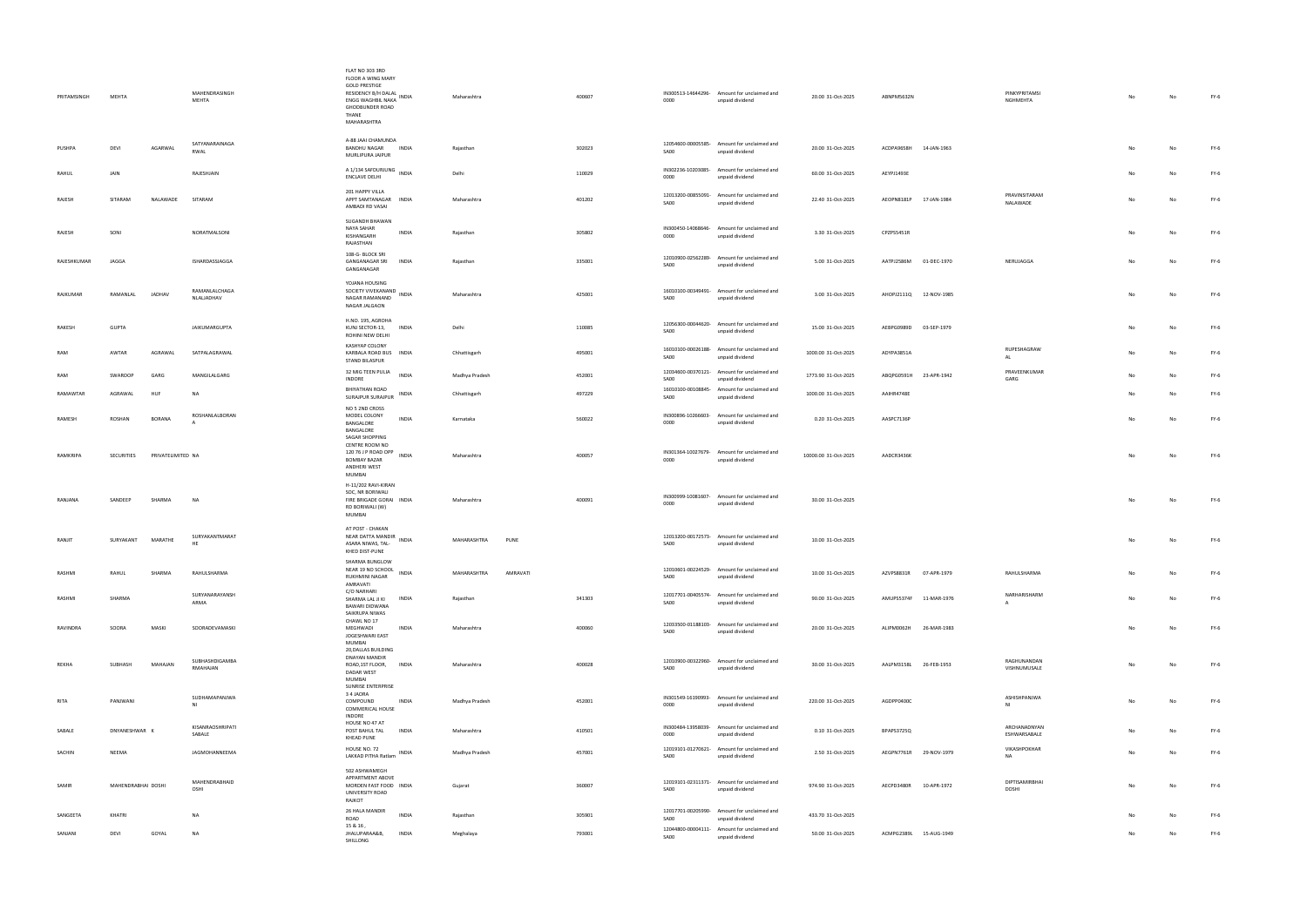| PRITAMSINGH | MEHTA              |                   | MAHENDRASINGH<br>MEHTA      | FLAT NO 303 3RD<br>FLOOR A WING MARY<br><b>GOLD PRESTIGE</b><br>RESIDENCY B/H DALAL INDIA<br>ENGG WAGHBIL NAKA<br><b>GHODBUNDER ROAD</b><br>THANE<br>MAHARASHTRA | Maharashtra    |          | 400607 | 0000                       | IN300513-14644296- Amount for unclaimed and<br>unpaid dividend | 20.00 31-Oct-2025    | ABNPM5632N             |                        | PINKYPRITAMSI<br>NGHMEHTA    | No | No | FY-6   |
|-------------|--------------------|-------------------|-----------------------------|------------------------------------------------------------------------------------------------------------------------------------------------------------------|----------------|----------|--------|----------------------------|----------------------------------------------------------------|----------------------|------------------------|------------------------|------------------------------|----|----|--------|
| PUSHPA      | DEVI               | AGARWAL           | SATYANARAINAGA<br>RWAL      | A-88 JAAI CHAMUNDA<br><b>BANDHU NAGAR</b><br><b>INDIA</b><br>MURLIPURA JAIPUR                                                                                    | Rajasthan      |          | 302023 | SA00                       | 12054600-00005585- Amount for unclaimed and<br>unpaid dividend | 20.00 31-Oct-2025    | ACDPA9658H 14-JAN-1963 |                        |                              |    |    | $FY-6$ |
| RAHUL       | JAIN               |                   | RAJESHJAIN                  | A 1/134 SAFDURJUNG INDIA<br>ENCLAVE DELHI                                                                                                                        | Delhi          |          | 110029 | IN302236-10203085-<br>0000 | Amount for unclaimed and<br>unpaid dividend                    | 60.00 31-Oct-2025    | AEYPJ1493E             |                        |                              |    |    | $FY-6$ |
| RAJESH      | SITARAM            | NALAWADE          | SITARAM                     | 201 HAPPY VILLA<br>APPT SAMTANAGAR INDIA<br>AMBADI RD VASAI                                                                                                      | Maharashtra    |          | 401202 | SA00                       | 12013200-00855091- Amount for unclaimed and<br>unpaid dividend | 22.40 31-Oct-2025    | AEOPN8181P 17-JAN-1984 |                        | PRAVINSITARAM<br>NALAWADE    |    |    | $FY-6$ |
| RAJESH      | SONI               |                   | NORATMALSONI                | SUGANDH BHAWAN<br>NAYA SAHAR<br><b>INDIA</b><br>KISHANGARH<br>RAJASTHAN                                                                                          | Rajasthan      |          | 305802 | 0000                       | IN300450-14068646- Amount for unclaimed and<br>unpaid dividend | 3.30 31-Oct-2025     | CPZPS5451R             |                        |                              | No | Nr | FY-6   |
| RAJESHKUMAR | JAGGA              |                   | ISHARDASSJAGGA              | 108-G- BLOCK SRI<br>GANGANAGAR SRI INDIA<br>GANGANAGAR                                                                                                           | Rajasthan      |          | 335001 | SA00                       | 12010900-02562289- Amount for unclaimed and<br>unpaid dividend | 5.00 31-Oct-2025     | AATPJ2586M 01-DEC-1970 |                        | NERUJAGGA                    | No | Nr | $FY-6$ |
| RAJKUMAR    | RAMANLAL           | JADHAV            | RAMANLALCHAGA<br>NLALJADHAV | YOJANA HOUSING<br>SOCIETY VIVEKANAND<br>INDIA<br>NAGAR RAMANAND<br>NAGAR JALGAON                                                                                 | Maharashtra    |          | 425001 | SA00                       | 16010100-00349491- Amount for unclaimed and<br>unpaid dividend | 3.00 31-Oct-2025     |                        | AHOPJ2111Q 12-NOV-1985 |                              | No | No | $FY-6$ |
| RAKESH      | <b>GUPTA</b>       |                   | JAIKUMARGUPTA               | H.NO. 195, AGROHA<br>KUNJ SECTOR-13, INDIA<br>ROHINI NEW DELHI                                                                                                   | Delhi          |          | 110085 | SA00                       | 12056300-00044620- Amount for unclaimed and<br>unpaid dividend | 15.00 31-Oct-2025    | AEBPG0989D 03-SEP-1979 |                        |                              | No | No | $FY-6$ |
| RAM         | AWTAR              | AGRAWAL           | SATPALAGRAWAL               | KASHYAP COLONY<br>KARBALA ROAD BUS INDIA<br><b>STAND BILASPUR</b>                                                                                                | Chhattisgarh   |          | 495001 | SA00                       | 16010100-00026188- Amount for unclaimed and<br>unpaid dividend | 1000.00 31-Oct-2025  | ADYPA3851A             |                        | RUPESHAGRAW<br>AL            | No |    | FY-6   |
| RAM         | SWAROOP            | GARG              | MANGILALGARG                | 32 MIG TEEN PULIA<br><b>INDIA</b><br>INDORE                                                                                                                      | Madhya Pradesh |          | 452001 | SA00                       | 12034600-00370121- Amount for unclaimed and<br>unpaid dividend | 1773.90 31-Oct-2025  | ABQPG0591H 23-APR-1942 |                        | PRAVEENKUMAR<br>GARG         | No |    | $FY-6$ |
| RAMAWTAR    | AGRAWAL            | HUF               | NA                          | BHIYATHAN ROAD<br><b>INDIA</b><br>SURAJPUR SURAJPUR                                                                                                              | Chhattisgarh   |          | 497229 | 16010100-00108845-<br>SA00 | Amount for unclaimed and<br>unpaid dividend                    | 1000.00 31-Oct-2025  | AAIHR4748E             |                        |                              | No |    | $FY-6$ |
| RAMESH      | ROSHAN             | <b>BORANA</b>     | ROSHANLALBORAN              | NO 5 2ND CROSS<br>MODEL COLONY<br><b>INDIA</b><br>BANGALORE<br>BANGALORE                                                                                         | Karnataka      |          | 560022 | 0000                       | IN300896-10266603- Amount for unclaimed and<br>unpaid dividend | 0.20 31-Oct-2025     | AASPC7136P             |                        |                              | No |    | $FY-6$ |
| RAMKRIPA    | SECURITIES         | PRIVATELIMITED NA |                             | SAGAR SHOPPING<br>CENTRE ROOM NO<br>120 76 J P ROAD OPP INDIA<br><b>BOMBAY BAZAR</b><br>ANDHERI WEST<br>MUMBAI                                                   | Maharashtra    |          | 400057 | 0000                       | IN301364-10027679- Amount for unclaimed and<br>unpaid dividend | 10000.00 31-Oct-2025 | AADCR3436K             |                        |                              | No | No | FY-6   |
| RANJANA     | SANDEEP            | SHARMA            | NA                          | H-11/202 RAVI-KIRAN<br>SOC, NR BORIWALI<br>FIRE BRIGADE GORAI INDIA<br>RD BORIWALI (W)<br>MUMBAI                                                                 | Maharashtra    |          | 400091 | 0000                       | IN300999-10081607- Amount for unclaimed and<br>unpaid dividend | 30.00 31-Oct-2025    |                        |                        |                              | No | No | $FY-6$ |
| RANJIT      | SURYAKANT          | MARATHE           | SURYAKANTMARAT<br>HF.       | AT POST - CHAKAN<br>NEAR DATTA MANDIR<br><b>INDIA</b><br>ASARA NIWAS, TAL-<br>KHED DIST-PUNE                                                                     | MAHARASHTRA    | PUNE     |        | SA00                       | 12013200-00172573- Amount for unclaimed and<br>unpaid dividend | 10.00 31-Oct-2025    |                        |                        |                              |    |    | FY-6   |
| RASHMI      | RAHUL              | SHARMA            | RAHULSHARMA                 | SHARMA BUNGLOW<br>NEAR 19 NO SCHOOL INDIA<br>RUKHMINI NAGAR<br>AMRAVATI                                                                                          | MAHARASHTRA    | AMRAVATI |        | SA00                       | 12010601-00224529- Amount for unclaimed and<br>unpaid dividend | 10.00 31-Oct-2025    | AZVPS8831R             | 07-APR-1979            | RAHULSHARMA                  | No | No | $FY-6$ |
| RASHMI      | SHARMA             |                   | SURYANARAYANSH<br>ARMA      | C/O NARHARI<br>SHARMA LAL JI KI<br><b>INDIA</b><br><b>BAWARI DIDWANA</b><br>SAIKRUPA NIWAS                                                                       | Rajasthan      |          | 341303 | SA00                       | 12017701-00405574- Amount for unclaimed and<br>unpaid dividend | 90.00 31-Oct-2025    | AMUPS5374F             | 11-MAR-1976            | NARHARISHARM<br>$\mathsf{A}$ | No |    | FY-6   |
| RAVINDRA    | SOORA              | MASKI             | SOORADEVAMASKI              | CHAWL NO 17<br>MEGHWADI<br><b>INDIA</b><br>JOGESHWARI EAST                                                                                                       | Maharashtra    |          | 400060 | SA00                       | 12033500-01188103- Amount for unclaimed and<br>unpaid dividend | 20.00 31-Oct-2025    | ALIPM0062H             | 26-MAR-1983            |                              |    |    | $FY-6$ |
| REKHA       | SUBHASH            | MAHAJAN           | SUBHASHDIGAMBA<br>RMAHAJAN  | MUMBAI<br>20, DALLAS BUILDING<br>DNAYAN MANDIR<br>ROAD, 1ST FLOOR, INDIA<br>DADAR WEST<br>MUMBAI                                                                 | Maharashtra    |          | 400028 | SA00                       | 12010900-00322960- Amount for unclaimed and<br>unpaid dividend | 30.00 31-Oct-2025    | AALPM3158L 26-FEB-1953 |                        | RAGHUNANDAN<br>VISHNUMUSALE  | No | No | $FY-6$ |
| RITA        | PANJWANI           |                   | SUDHAMAPANJWA<br>NI         | SUNRISE ENTERPRISE<br>34 JAORA<br>COMPOUND<br><b>INDIA</b><br>COMMERICAL HOUSE                                                                                   | Madhya Pradesh |          | 452001 | 0000                       | IN301549-16190993- Amount for unclaimed and<br>unpaid dividend | 220.00 31-Oct-2025   | AGDPP0400C             |                        | ASHISHPANJWA<br>NI           | No | Nr | $FY-6$ |
| SABALE      | DNYANESHWAR K      |                   | KISANRAOSHRIPATI<br>SABALE  | INDORE<br>HOUSE NO 47 AT<br>POST BAHUL TAL<br><b>INDIA</b><br>KHEAD PUNE                                                                                         | Maharashtra    |          | 410501 | 0000                       | IN300484-13958039- Amount for unclaimed and<br>unpaid dividend | 0.10 31-Oct-2025     | BPAPS3725Q             |                        | ARCHANADNYAN<br>ESHWARSABALE | No |    | $FY-6$ |
| SACHIN      | NEEMA              |                   | JAGMOHANNEEMA               | HOUSE NO. 72<br>INDIA<br>LAKKAD PITHA Ratlam                                                                                                                     | Madhya Pradesh |          | 457001 | SA00                       | 12019101-01270621- Amount for unclaimed and<br>unpaid dividend | 2.50 31-Oct-2025     |                        | AEGPN7761R 29-NOV-1979 | VIKASHPOKHAR<br><b>NA</b>    | No |    | $FY-6$ |
| SAMIR       | MAHENDRABHAI DOSHI |                   | MAHENDRABHAID<br>OSHI       | 502 ASHWAMEGH<br>APPARTMENT ABOVE<br>MORDEN FAST FOOD INDIA<br>UNIVERSITY ROAD<br>RAJKOT                                                                         | Gujarat        |          | 360007 | SA00                       | 12019101-02311371- Amount for unclaimed and<br>unpaid dividend | 974.90 31-Oct-2025   | AECPD3480R             | 10-APR-1972            | DIPTISAMIRBHAI<br>DOSHI      | No |    | FY-6   |
| SANGEETA    | KHATRI             |                   | <b>NA</b>                   | 26 HALA MANDIR<br><b>INDIA</b><br>ROAD                                                                                                                           | Rajasthan      |          | 305901 | SA00                       | 12017701-00205990- Amount for unclaimed and<br>unpaid dividend | 433.70 31-Oct-2025   |                        |                        |                              | No |    | $FY-6$ |
| SANJANI     | DEVI               | GOYAL             | NA                          | 15 & 16,<br>JHALUPARAA&B,<br><b>INDIA</b><br>SHILLONG                                                                                                            | Meghalaya      |          | 793001 | SA00                       | 12044800-00004111- Amount for unclaimed and<br>unpaid dividend | 50.00 31-Oct-2025    |                        | ACMPG2389L 15-AUG-1949 |                              | No |    | $FY-6$ |

| 20.00 31-Oct-2025  | ABNPM5632N        |             | PINKYPRITAMSI<br>NGHMEHTA              | No | No             | FY-6   |
|--------------------|-------------------|-------------|----------------------------------------|----|----------------|--------|
|                    |                   |             |                                        |    |                |        |
| 20.00 31-Oct-2025  | ACDPA9658H        | 14-JAN-1963 |                                        | No | No             | $FY-6$ |
| 60.00 31-Oct-2025  | AEYPJ1493E        |             |                                        | No | No             | FY-6   |
| 22.40 31-Oct-2025  | AEOPN8181P        | 17-JAN-1984 | PRAVINSITARAM<br>NALAWADE              | No | No             | FY-6   |
| 3.30 31-Oct-2025   | CPZPS5451R        |             |                                        | No | No             | FY-6   |
| 5.00 31-Oct-2025   | AATPJ2586M        | 01-DEC-1970 | NERUJAGGA                              | No | No             | FY-6   |
| 3.00 31-Oct-2025   | AHOPJ2111Q        | 12-NOV-1985 |                                        | No | No             | FY-6   |
| 15.00 31-Oct-2025  | AEBPG0989D        | 03-SEP-1979 |                                        | No | No             | FY-6   |
| 000.00 31-Oct-2025 | ADYPA3851A        |             | RUPESHAGRAW<br>AL                      | No | No             | $FY-6$ |
| 773.90 31-Oct-2025 | ABQPG0591H        | 23-APR-1942 | PRAVEENKUMAR<br>GARG                   | No | No             | FY-6   |
| 000.00 31-Oct-2025 | AAIHR4748E        |             |                                        | No | No             | FY-6   |
| 0.20 31-Oct-2025   | AASPC7136P        |             |                                        | No | No             | FY-6   |
| 000.00 31-Oct-2025 | AADCR3436K        |             |                                        | No | No             | FY-6   |
| 30.00 31-Oct-2025  |                   |             |                                        | No | No             | FY-6   |
| 10.00 31-Oct-2025  |                   |             |                                        | No | No             | FY-6   |
| 10.00 31-Oct-2025  | AZVPS8831R        | 07-APR-1979 | RAHULSHARMA                            | No | No             | FY-6   |
| 90.00 31-Oct-2025  | AMUPS5374F        | 11-MAR-1976 | NARHARISHARM<br>А                      | No | No             | FY-6   |
| 20.00 31-Oct-2025  | ALIPM0062H        | 26-MAR-1983 |                                        | No | No             | $FY-6$ |
| 30.00 31-Oct-2025  | AALPM3158L        | 26-FEB-1953 | RAGHUNANDAN<br>VISHNUMUSALE            | No | No             | FY-6   |
| 220.00 31-Oct-2025 | AGDPP0400C        |             | ASHISHPANJWA<br>$\mathsf{N}\mathsf{I}$ | No | No             | FY-6   |
| 0.10 31-Oct-2025   | BPAPS3725Q        |             | ARCHANADNYAN<br>ESHWARSABALE           | No | No             | FY-6   |
| 2.50 31-Oct-2025   | AEGPN7761R        | 29-NOV-1979 | VIKASHPOKHAR<br><b>NA</b>              | No | No             | FY-6   |
| 974.90 31-Oct-2025 | AECPD3480R        | 10-APR-1972 | DIPTISAMIRBHAI<br><b>DOSHI</b>         | No | No             | FY-6   |
| 433.70 31-Oct-2025 |                   |             |                                        | No | No             | FY-6   |
| 50.00 31-Oct-2025  | <b>ACMPG2389L</b> | 15-AUG-1949 |                                        | No | N <sub>0</sub> | $FY-6$ |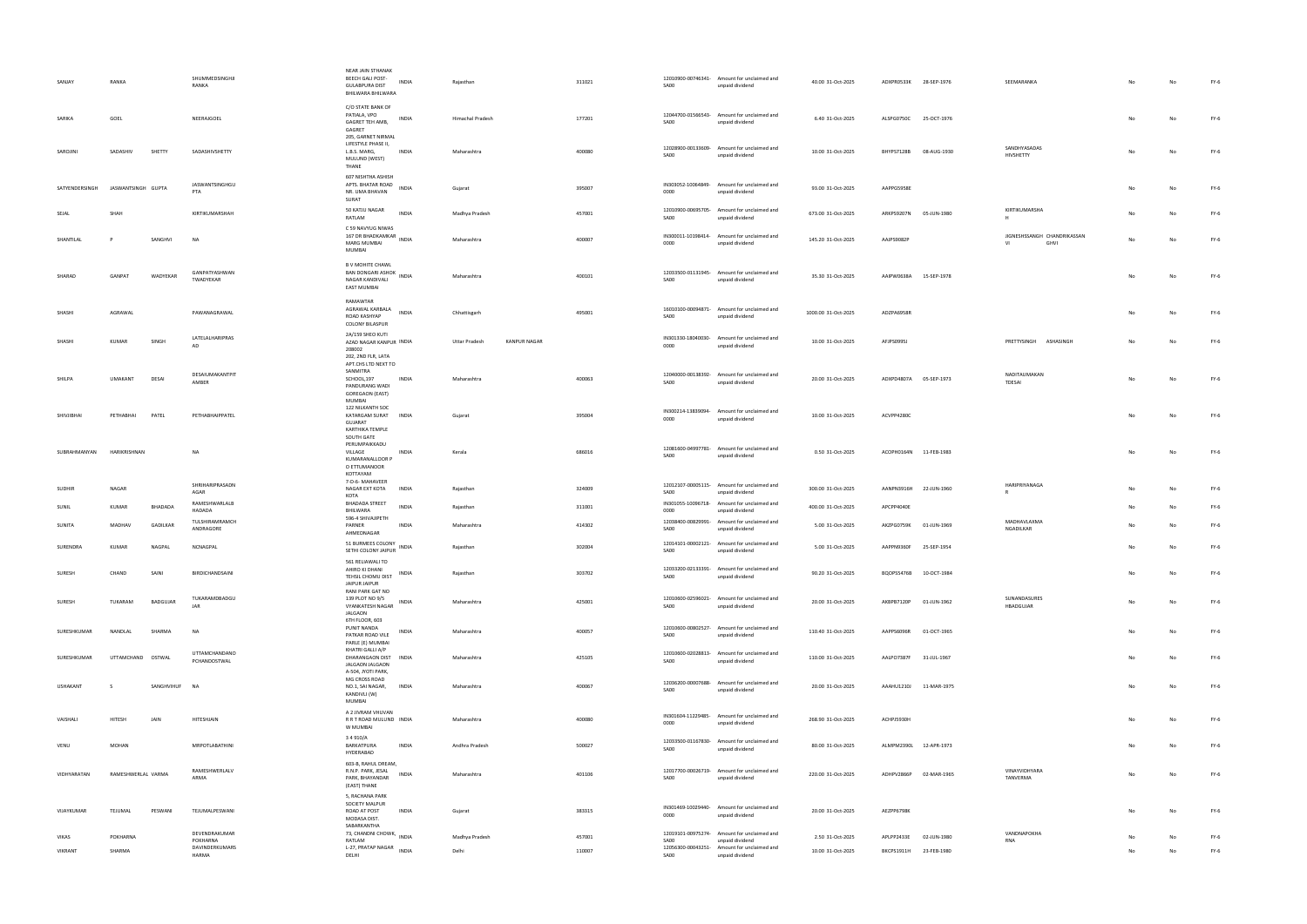| SANJAY          | RANKA              |            | SHUMMEDSINGHJI<br>RANKA              | NEAR JAIN STHANAK<br>BEECH GALI POST-<br>INDIA<br><b>GULABPURA DIST</b><br>BHILWARA BHILWARA       | Rajasthan                     | 311021 | 12010900-00746341- Amount for unclaimed and<br>SA00<br>unpaid dividend           | 40.00 31-Oct-2025   | ADXPR0533K 28-SEP-1976    | SEEMARANKA                                |    |    | FY-6   |
|-----------------|--------------------|------------|--------------------------------------|----------------------------------------------------------------------------------------------------|-------------------------------|--------|----------------------------------------------------------------------------------|---------------------|---------------------------|-------------------------------------------|----|----|--------|
| SARIKA          | GOEL               |            | NEERAJGOEL                           | C/O STATE BANK OF<br>PATIALA, VPO<br><b>INDIA</b><br>GAGRET TEH AMB,<br>GAGRET                     | Himachal Pradesh              | 177201 | 12044700-01566543-<br>Amount for unclaimed and<br>SA00<br>unpaid dividend        | 6.40 31-Oct-2025    | ALSPG0750C 25-OCT-1976    |                                           | No | No | $FY-6$ |
| SAROJINI        | SADASHIV           | SHETTY     | SADASHIVSHETTY                       | 205, GARNET NIRMAL<br>LIFESTYLE PHASE II,<br>L.B.S. MARG,<br>INDIA<br>MULUND (WEST)<br>THANE       | Maharashtra                   | 400080 | 12028900-00133609- Amount for unclaimed and<br><b>SA00</b><br>unpaid dividend    | 10.00 31-Oct-2025   | BHYPS7128B 08-AUG-1930    | SANDHYASADAS<br>HIVSHETTY                 | No | No | $FY-6$ |
| SATYENDERSINGH  | JASWANTSINGH GUPTA |            | JASWANTSINGHGU<br>PTA                | 607 NISHTHA ASHISH<br>APTS. BHATAR ROAD<br><b>INDIA</b><br>NR. UMA BHAVAN<br>SURAT                 | Gujarat                       | 395007 | IN303052-10064849- Amount for unclaimed and<br>0000<br>unpaid dividend           | 93.00 31-Oct-2025   | AAPPG5958E                |                                           |    |    | $FY-6$ |
| SEJAL           | SHAH               |            | KIRTIKUMARSHAH                       | 50 KATJU NAGAR<br><b>INDIA</b><br>RATLAM                                                           | Madhya Pradesh                | 457001 | 12010900-00695705- Amount for unclaimed and<br>SA00<br>unpaid dividend           | 673.00 31-Oct-2025  | ARKPS9207N 05-JUN-1980    | KIRTIKUMARSHA<br>H                        |    |    | $FY-6$ |
| SHANTILAL       |                    | SANGHVI    | <b>NA</b>                            | C 59 NAVYUG NIWAS<br>167 DR BHADKAMKAR<br>167 DR BHADKAMKAR<br>MARG MUMBAI<br>MUMBAI               | Maharashtra                   | 400007 | IN300011-10198414- Amount for unclaimed and<br>0000<br>unpaid dividend           | 145.20 31-Oct-2025  | AAJPS9082P                | JIGNESHSSANGH CHANDRIKASSAN<br>VI<br>GHVI |    |    | FY-6   |
| SHARAD          | GANPAT             | WADYEKAR   | GANPATYASHWAN<br>TWADYEKAR           | B V MOHITE CHAWL<br>BAN DONGARI ASHOK INDIA<br>NAGAR KANDIVALI<br><b>EAST MUMBAI</b>               | Maharashtra                   | 400101 | 12033500-01131945- Amount for unclaimed and<br>SA00<br>unpaid dividend           | 35.30 31-Oct-2025   | AAIPW0638A 15-SEP-1978    |                                           | No | No | $FY-6$ |
| SHASHI          | AGRAWAL            |            | PAWANAGRAWAL                         | RAMAWTAR<br>AGRAWAL KARBALA<br>INDIA<br>ROAD KASHYAP<br><b>COLONY BILASPUR</b>                     | Chhattisgarh                  | 495001 | 16010100-00094871-<br>Amount for unclaimed and<br>SA00<br>unpaid dividend        | 1000.00 31-Oct-2025 | ADZPA6958R                |                                           | No |    | FY-6   |
| SHASHI          | KUMAR              | SINGH      | LATELALHARIPRAS<br>AD                | 2A/159 SHEO KUTI<br>AZAD NAGAR KANPUR INDIA<br>208002<br>202, 2ND FLR, LATA<br>APT.CHS LTD NEXT TO | KANPUR NAGAR<br>Uttar Pradesh |        | IN301330-18040030-<br>Amount for unclaimed and<br>0000<br>unpaid dividend        | 10.00 31-Oct-2025   | AFJPS0995J                | PRETTYSINGH ASHASINGH                     | No |    | $FY-6$ |
| SHILPA          | <b>UMAKANT</b>     | DESAI      | DESAIUMAKANTPIT<br>AMBER             | SANMITRA<br>SCHOOL,197<br>INDIA<br>PANDURANG WADI<br>GOREGAON (EAST)<br>MUMBAI                     | Maharashtra                   | 400063 | 12040000-00138392- Amount for unclaimed and<br>SA00<br>unpaid dividend           | 20.00 31-Oct-2025   | ADXPD4807A 05-SEP-1973    | NADITAUMAKAN<br>TDESAI                    |    |    | FY-6   |
| SHIVJIBHAI      | PETHABHAI          | PATEL      | PETHABHAIPPATEL                      | 122 NILKANTH SOC<br>KATARGAM SURAT<br><b>INDIA</b><br>GUJARAT<br>KARTHIKA TEMPLE<br>SOUTH GATE     | Gujarat                       | 395004 | IN300214-13839094-<br>Amount for unclaimed and<br>0000<br>unpaid dividend        | 10.00 31-Oct-2025   | ACVPP4280C                |                                           | No | No | $FY-6$ |
| SUBRAHMANYAN    | HARIKRISHNAN       |            | NA                                   | PERUMPAIKKADU<br>VILLAGE<br>INDIA<br>KUMARANALLOOR P<br>O ETTUMANOOR<br>KOTTAYAM                   | Kerala                        | 686016 | 12081600-04997781-<br>Amount for unclaimed and<br>SA00<br>unpaid dividend        | 0.50 31-Oct-2025    | ACOPH0164N 11-FEB-1983    |                                           |    |    | $FY-6$ |
| <b>SUDHIR</b>   | NAGAR              |            | SHRIHARIPRASADN<br>AGAR              | 7-D-6- MAHAVEER<br>NAGAR EXT KOTA<br>INDIA<br>KOTA                                                 | Rajasthan                     | 324009 | 12012107-00005115- Amount for unclaimed and<br>SA00<br>unpaid dividend           | 300.00 31-Oct-2025  | AANPN3916H 22-JUN-1960    | HARIPRIYANAGA<br>$\mathsf{R}$             |    |    | FY-6   |
|                 |                    |            |                                      | <b>BHADADA STREET</b>                                                                              |                               | 311001 | IN301055-10096718- Amount for unclaimed and<br>0000                              | 400.00 31-Oct-2025  | APCPP4040E                |                                           | No |    | $FY-6$ |
| SUNIL           | KUMAR              | BHADADA    | RAMESHWARLALB<br>HADADA              | <b>INDIA</b><br>BHILWARA                                                                           | Rajasthan                     |        | unpaid dividend                                                                  |                     |                           |                                           |    |    |        |
| SUNITA          | MADHAV             | GADILKAR   | TULSHIRAMRAMCH<br>ANDRAGORE          | 596-4 SHIVAJIPETH<br>PARNER<br><b>INDIA</b>                                                        | Maharashtra                   | 414302 | 12038400-00829991- Amount for unclaimed and<br>SA00<br>unpaid dividend           | 5.00 31-Oct-2025    | AKZPG0759K 01-JUN-1969    | MADHAVLAXMA<br>NGADILKAR                  | No |    | FY-6   |
| SURENDRA        | <b>KUMAR</b>       | NAGPAL     | NCNAGPAL                             | AHMEDNAGAR<br>51 BURMEES COLONY<br><b>INDIA</b><br>SETHI COLONY JAIPUR                             | Rajasthan                     | 302004 | 12014101-00002121-<br>Amount for unclaimed and<br><b>SA00</b><br>unpaid dividend | 5.00 31-Oct-2025    | AAPPN9360F<br>25-SEP-1954 |                                           | No | Nο | $FY-6$ |
| SURESH          | CHAND              | SAINI      | BIRDICHANDSAINI                      | 561 RELIAWALI TO<br>AHIRO KI DHANI<br>INDIA<br>TEHSIL CHOMU DIST<br>JAIPUR JAIPUR                  | Rajasthan                     | 303702 | 12033200-02133391- Amount for unclaimed and<br>SA00<br>unpaid dividend           | 90.20 31-Oct-2025   | BQOPS5476B 10-OCT-1984    |                                           | No | No | $FY-6$ |
| SURESH          | TUKARAM            | BADGUJAR   | TUKARAMDBADGU<br>JAR                 | RANI PARK GAT NO<br>139 PLOT NO 9/5<br>INDIA<br>VYANKATESH NAGAR<br>JALGAON                        | Maharashtra                   | 425001 | 12010600-02596021-<br>Amount for unclaimed and<br>SA00<br>unpaid dividend        | 20.00 31-Oct-2025   | AKBPB7120P<br>01-JUN-1962 | SUNANDASURES<br>HBADGUJAR                 |    |    | $FY-6$ |
| SURESHKUMAR     | NANDLAL            | SHARMA     | NA                                   | 6TH FLOOR, 603<br>PUNIT NANDA<br>INDIA<br>PATKAR ROAD VILE<br>PARLE (E) MUMBAI                     | Maharashtra                   | 400057 | 12010600-00802527-<br>Amount for unclaimed and<br>SA00<br>unpaid dividend        | 110.40 31-Oct-2025  | AAPPS6096R<br>01-OCT-1965 |                                           | No |    | $FY-6$ |
| SURESHKUMAR     | UTTAMCHAND OSTWAL  |            | <b>UTTAMCHANDANO</b><br>PCHANDOSTWAL | KHATRI GALLI A/P<br>DHARANGAON DIST INDIA<br>JALGAON JALGAON<br>A-504, JYOTI PARK,                 | Maharashtra                   | 425105 | 12010600-02028813-<br>Amount for unclaimed and<br>SA00<br>unpaid dividend        | 110.00 31-Oct-2025  | AALPO7387F 31-JUL-1967    |                                           | No |    | FY-6   |
| <b>USHAKANT</b> | -S                 | SANGHVIHUF | <b>NA</b>                            | MG CROSS ROAD<br>NO.1, SAI NAGAR,<br><b>INDIA</b><br>KANDIVLI (W)<br>MUMBAI                        | Maharashtra                   | 400067 | 12036200-00007688- Amount for unclaimed and<br>SA00<br>unpaid dividend           | 20.00 31-Oct-2025   | AAAHU1210J 11-MAR-1975    |                                           | No |    | $FY-6$ |
| VAISHALI        | HITESH             | JAIN       | HITESHJAIN                           | A 2 JIVRAM VHUVAN<br>R R T ROAD MULUND INDIA<br>W MUMBAI                                           | Maharashtra                   | 400080 | IN301604-11229485- Amount for unclaimed and<br>0000<br>unpaid dividend           | 268.90 31-Oct-2025  | ACHPJ5930H                |                                           | No |    | FY-6   |
| VENU            | MOHAN              |            | MRPOTLABATHINI                       | 34910/A<br>BARKATPURA<br>INDIA<br>HYDERABAD                                                        | Andhra Pradesh                | 500027 | 12033500-01167830- Amount for unclaimed and<br>SA00<br>unpaid dividend           | 80.00 31-Oct-2025   | ALMPM2390L 12-APR-1973    |                                           |    |    | $FY-6$ |
| VIDHYARATAN     | RAMESHWERLAL VARMA |            | RAMESHWERLALV<br>ARMA                | 603-B, RAHUL DREAM,<br>R.N.P. PARK, JESAL<br><b>INDIA</b><br>PARK, BHAYANDAR<br>(EAST) THANE       | Maharashtra                   | 401106 | 12017700-00026719- Amount for unclaimed and<br>SA00<br>unpaid dividend           | 220.00 31-Oct-2025  | ADHPV2866P 02-MAR-1965    | VINAYVIDHYARA<br>TANVERMA                 |    |    | $FY-6$ |
| VIJAYKUMAR      | TEJUMAL            | PESWANI    | TEJUMALPESWANI                       | 5, RACHANA PARK<br>SOCIETY MALPUR<br>ROAD AT POST<br>INDIA<br>MODASA DIST.<br>SABARKANTHA          | Gujarat                       | 383315 | IN301469-10029440- Amount for unclaimed and<br>0000<br>unpaid dividend           | 20.00 31-Oct-2025   | AEZPP6798K                |                                           |    |    | $FY-6$ |
| VIKAS           | POKHARNA           |            | DEVENDRAKUMAR<br>POKHARNA            | 73, CHANDNI CHOWK, INDIA<br>RATLAM                                                                 | Madhya Pradesh                | 457001 | 12019101-00975274- Amount for unclaimed and<br>SA00<br>unpaid dividend           | 2.50 31-Oct-2025    | APLPP2433E<br>02-JUN-1980 | VANDNAPOKHA<br>RNA                        |    |    | FY-6   |
| VIKRANT         | SHARMA             |            | DAVINDERKUMARS<br>HARMA              | L-27, PRATAP NAGAR<br><b>INDIA</b><br>DELHI                                                        | Delhi                         | 110007 | 12056300-00043251- Amount for unclaimed and<br>SA00<br>unpaid dividend           | 10.00 31-Oct-2025   | BKCPS1911H<br>23-FEB-1980 |                                           | Nο | No | $FY-6$ |

| 40.00 31-Oct-2025  | ADXPR0533K | 28-SEP-1976 | SEEMARANKA                |                                     | No | No | FY-6   |
|--------------------|------------|-------------|---------------------------|-------------------------------------|----|----|--------|
| 6.40 31-Oct-2025   | ALSPG0750C | 25-OCT-1976 |                           |                                     | No | No | FY-6   |
| 10.00 31-Oct-2025  | BHYPS7128B | 08-AUG-1930 | SANDHYASADAS<br>HIVSHETTY |                                     | No | No | FY-6   |
| 93.00 31-Oct-2025  | AAPPG5958E |             |                           |                                     | No | No | FY-6   |
| 673.00 31-Oct-2025 | ARKPS9207N | 05-JUN-1980 | KIRTIKUMARSHA<br>н        |                                     | No | No | FY-6   |
| 145.20 31-Oct-2025 | AAJPS9082P |             | VI                        | JIGNESHSSANGH CHANDRIKASSAN<br>GHVI | No | No | $FY-6$ |
| 35.30 31-Oct-2025  | AAIPW0638A | 15-SEP-1978 |                           |                                     | No | No | FY-6   |
| 000.00 31-Oct-2025 | ADZPA6958R |             |                           |                                     | No | No | FY-6   |
| 10.00 31-Oct-2025  | AFJPS0995J |             | PRETTYSINGH               | ASHASINGH                           | No | No | FY-6   |
| 20.00 31-Oct-2025  | ADXPD4807A | 05-SEP-1973 | NADITAUMAKAN<br>TDESAI    |                                     | No | No | FY-6   |
| 10.00 31-Oct-2025  | ACVPP4280C |             |                           |                                     | No | No | FY-6   |
| 0.50 31-Oct-2025   | ACOPH0164N | 11-FEB-1983 |                           |                                     | No | No | $FY-6$ |
| 300.00 31-Oct-2025 | AANPN3916H | 22-JUN-1960 | HARIPRIYANAGA<br>R        |                                     | No | No | FY-6   |
| 400.00 31-Oct-2025 | APCPP4040E |             |                           |                                     | No | No | FY-6   |
| 5.00 31-Oct-2025   | AKZPG0759K | 01-JUN-1969 | MADHAVLAXMA<br>NGADILKAR  |                                     | No | No | FY-6   |
| 5.00 31-Oct-2025   | AAPPN9360F | 25-SEP-1954 |                           |                                     | No | No | $FY-6$ |
| 90.20 31-Oct-2025  | BQOPS5476B | 10-OCT-1984 |                           |                                     | No | No | FY-6   |
| 20.00 31-Oct-2025  | AKBPB7120P | 01-JUN-1962 | SUNANDASURES<br>HBADGUJAR |                                     | No | No | FY-6   |
| 110.40 31-Oct-2025 | AAPPS6096R | 01-OCT-1965 |                           |                                     | No | No | $FY-6$ |
| 110.00 31-Oct-2025 | AALPO7387F | 31-JUL-1967 |                           |                                     | No | No | FY-6   |
| 20.00 31-Oct-2025  | AAAHU1210J | 11-MAR-1975 |                           |                                     | No | No | FY-6   |
| 268.90 31-Oct-2025 | ACHPJ5930H |             |                           |                                     | No | No | FY-6   |
| 80.00 31-Oct-2025  | ALMPM2390L | 12-APR-1973 |                           |                                     | No | No | FY-6   |
| 220.00 31-Oct-2025 | ADHPV2866P | 02-MAR-1965 | VINAYVIDHYARA<br>TANVERMA |                                     | No | No | FY-6   |
| 20.00 31-Oct-2025  | AEZPP6798K |             |                           |                                     | No | No | FY-6   |
| 2.50 31-Oct-2025   | APLPP2433E | 02-JUN-1980 | VANDNAPOKHA<br>RNA        |                                     | No | No | FY-6   |
| 10.00 31-Oct-2025  | BKCPS1911H | 23-FEB-1980 |                           |                                     | No | No | FY-6   |